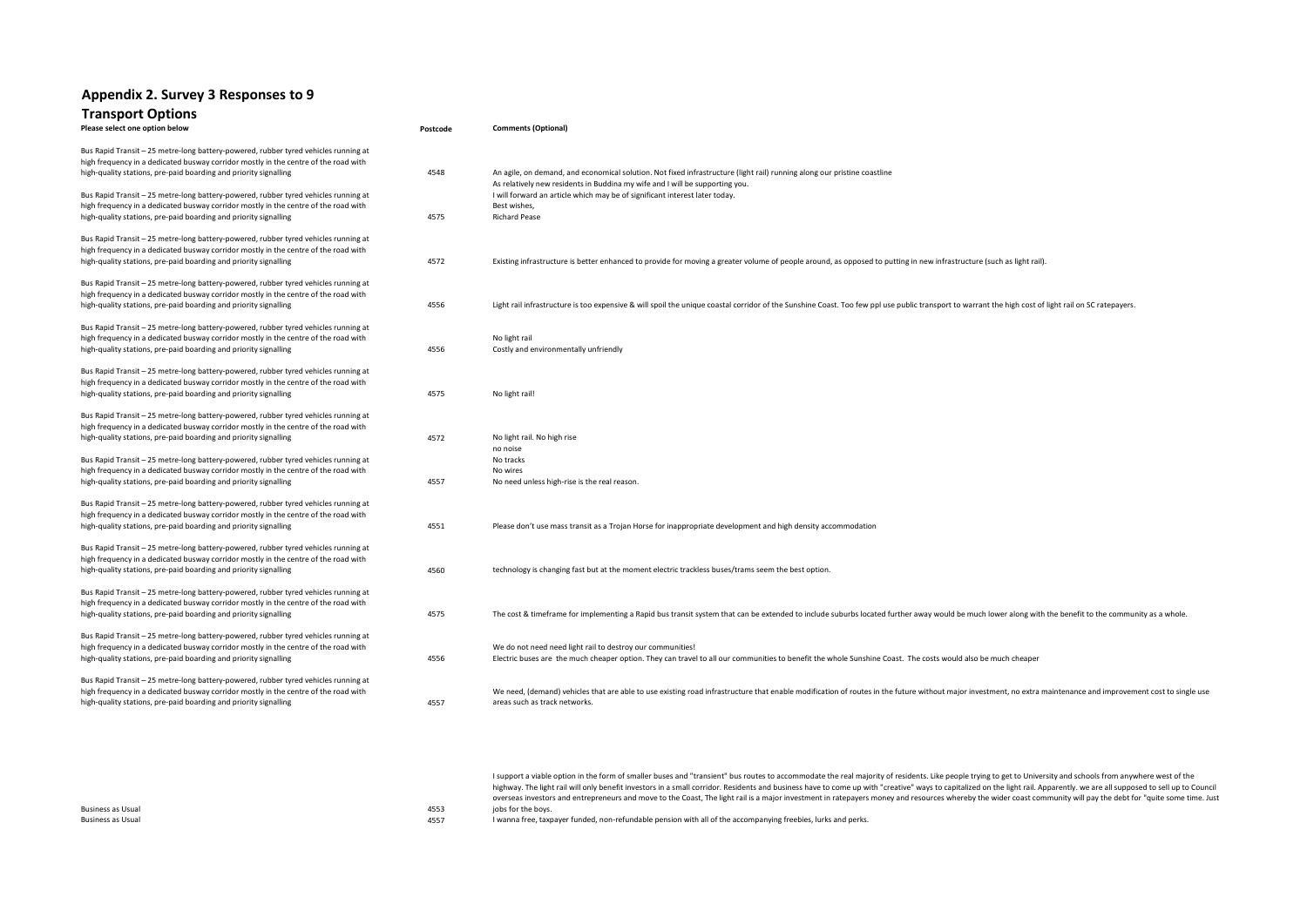## **Appendix 2. Survey 3 Responses to 9 Transport Options**

| Please select one option below                                                                                                                                                                                                                 | Postcode | <b>Comments (Optional)</b>                                                                                                                                                                                                                       |
|------------------------------------------------------------------------------------------------------------------------------------------------------------------------------------------------------------------------------------------------|----------|--------------------------------------------------------------------------------------------------------------------------------------------------------------------------------------------------------------------------------------------------|
| Bus Rapid Transit - 25 metre-long battery-powered, rubber tyred vehicles running at<br>high frequency in a dedicated busway corridor mostly in the centre of the road with<br>high-quality stations, pre-paid boarding and priority signalling | 4548     | An agile, on demand, and economical solution. Not fixed infrastructure (light rail) running along our pristine coastline                                                                                                                         |
| Bus Rapid Transit - 25 metre-long battery-powered, rubber tyred vehicles running at<br>high frequency in a dedicated busway corridor mostly in the centre of the road with<br>high-quality stations, pre-paid boarding and priority signalling | 4575     | As relatively new residents in Buddina my wife and I will be supporting you.<br>I will forward an article which may be of significant interest later today.<br>Best wishes,<br><b>Richard Pease</b>                                              |
| Bus Rapid Transit - 25 metre-long battery-powered, rubber tyred vehicles running at<br>high frequency in a dedicated busway corridor mostly in the centre of the road with                                                                     |          |                                                                                                                                                                                                                                                  |
| high-quality stations, pre-paid boarding and priority signalling                                                                                                                                                                               | 4572     | Existing infrastructure is better enhanced to provide for moving a greater volume of people around, as opposed to putting in new infrastructure (such as light rail).                                                                            |
| Bus Rapid Transit - 25 metre-long battery-powered, rubber tyred vehicles running at<br>high frequency in a dedicated busway corridor mostly in the centre of the road with<br>high-quality stations, pre-paid boarding and priority signalling | 4556     | Light rail infrastructure is too expensive & will spoil the unique coastal corridor of the Sunshine Coast. Too few ppl use public transport to warrant the high cost of light rail on SC ratepayers.                                             |
| Bus Rapid Transit - 25 metre-long battery-powered, rubber tyred vehicles running at<br>high frequency in a dedicated busway corridor mostly in the centre of the road with                                                                     |          | No light rail                                                                                                                                                                                                                                    |
| high-quality stations, pre-paid boarding and priority signalling                                                                                                                                                                               | 4556     | Costly and environmentally unfriendly                                                                                                                                                                                                            |
| Bus Rapid Transit - 25 metre-long battery-powered, rubber tyred vehicles running at<br>high frequency in a dedicated busway corridor mostly in the centre of the road with<br>high-quality stations, pre-paid boarding and priority signalling | 4575     | No light rail!                                                                                                                                                                                                                                   |
| Bus Rapid Transit - 25 metre-long battery-powered, rubber tyred vehicles running at<br>high frequency in a dedicated busway corridor mostly in the centre of the road with<br>high-quality stations, pre-paid boarding and priority signalling | 4572     | No light rail. No high rise                                                                                                                                                                                                                      |
| Bus Rapid Transit - 25 metre-long battery-powered, rubber tyred vehicles running at<br>high frequency in a dedicated busway corridor mostly in the centre of the road with<br>high-quality stations, pre-paid boarding and priority signalling | 4557     | no noise<br>No tracks<br>No wires<br>No need unless high-rise is the real reason.                                                                                                                                                                |
|                                                                                                                                                                                                                                                |          |                                                                                                                                                                                                                                                  |
| Bus Rapid Transit - 25 metre-long battery-powered, rubber tyred vehicles running at<br>high frequency in a dedicated busway corridor mostly in the centre of the road with<br>high-quality stations, pre-paid boarding and priority signalling | 4551     | Please don't use mass transit as a Trojan Horse for inappropriate development and high density accommodation                                                                                                                                     |
| Bus Rapid Transit - 25 metre-long battery-powered, rubber tyred vehicles running at<br>high frequency in a dedicated busway corridor mostly in the centre of the road with<br>high-quality stations, pre-paid boarding and priority signalling | 4560     | technology is changing fast but at the moment electric trackless buses/trams seem the best option.                                                                                                                                               |
|                                                                                                                                                                                                                                                |          |                                                                                                                                                                                                                                                  |
| Bus Rapid Transit - 25 metre-long battery-powered, rubber tyred vehicles running at<br>high frequency in a dedicated busway corridor mostly in the centre of the road with<br>high-quality stations, pre-paid boarding and priority signalling | 4575     | The cost & timeframe for implementing a Rapid bus transit system that can be extended to include suburbs located further away would be much lower along with the benefit to the community as a whole.                                            |
| Bus Rapid Transit - 25 metre-long battery-powered, rubber tyred vehicles running at<br>high frequency in a dedicated busway corridor mostly in the centre of the road with<br>high-quality stations, pre-paid boarding and priority signalling | 4556     | We do not need need light rail to destroy our communities!<br>Electric buses are the much cheaper option. They can travel to all our communities to benefit the whole Sunshine Coast. The costs would also be much cheaper                       |
| Bus Rapid Transit - 25 metre-long battery-powered, rubber tyred vehicles running at<br>high frequency in a dedicated busway corridor mostly in the centre of the road with<br>high-quality stations, pre-paid boarding and priority signalling | 4557     | We need, (demand) vehicles that are able to use existing road infrastructure that enable modification of routes in the future without major investment, no extra maintenance and improvement cost to single use<br>areas such as track networks. |
|                                                                                                                                                                                                                                                |          |                                                                                                                                                                                                                                                  |

|      | i sapport a viable option in the form of smaller bases and "transient" bas routes to attornmounte the rearmiquity or residents. End people trying to get to omrersity and schools nom anywhere west or the                   |
|------|------------------------------------------------------------------------------------------------------------------------------------------------------------------------------------------------------------------------------|
|      | highway. The light rail will only benefit investors in a small corridor. Residents and business have to come up with "creative" ways to capitalized on the light rail. Apparently. we are all supposed to sell up to Council |
|      | overseas investors and entrepreneurs and move to the Coast, The light rail is a major investment in ratepayers money and resources whereby the wider coast community will pay the debt for "quite some time. Just            |
| 4553 | jobs for the boys.                                                                                                                                                                                                           |
| 4557 | I wanna free, taxpayer funded, non-refundable pension with all of the accompanying freebies, lurks and perks.                                                                                                                |
|      |                                                                                                                                                                                                                              |

I support a viable option in the form of smaller buses and "transient" bus routes to accommodate the real majority of residents. Like people trying to get to University and schools from anywhere west of the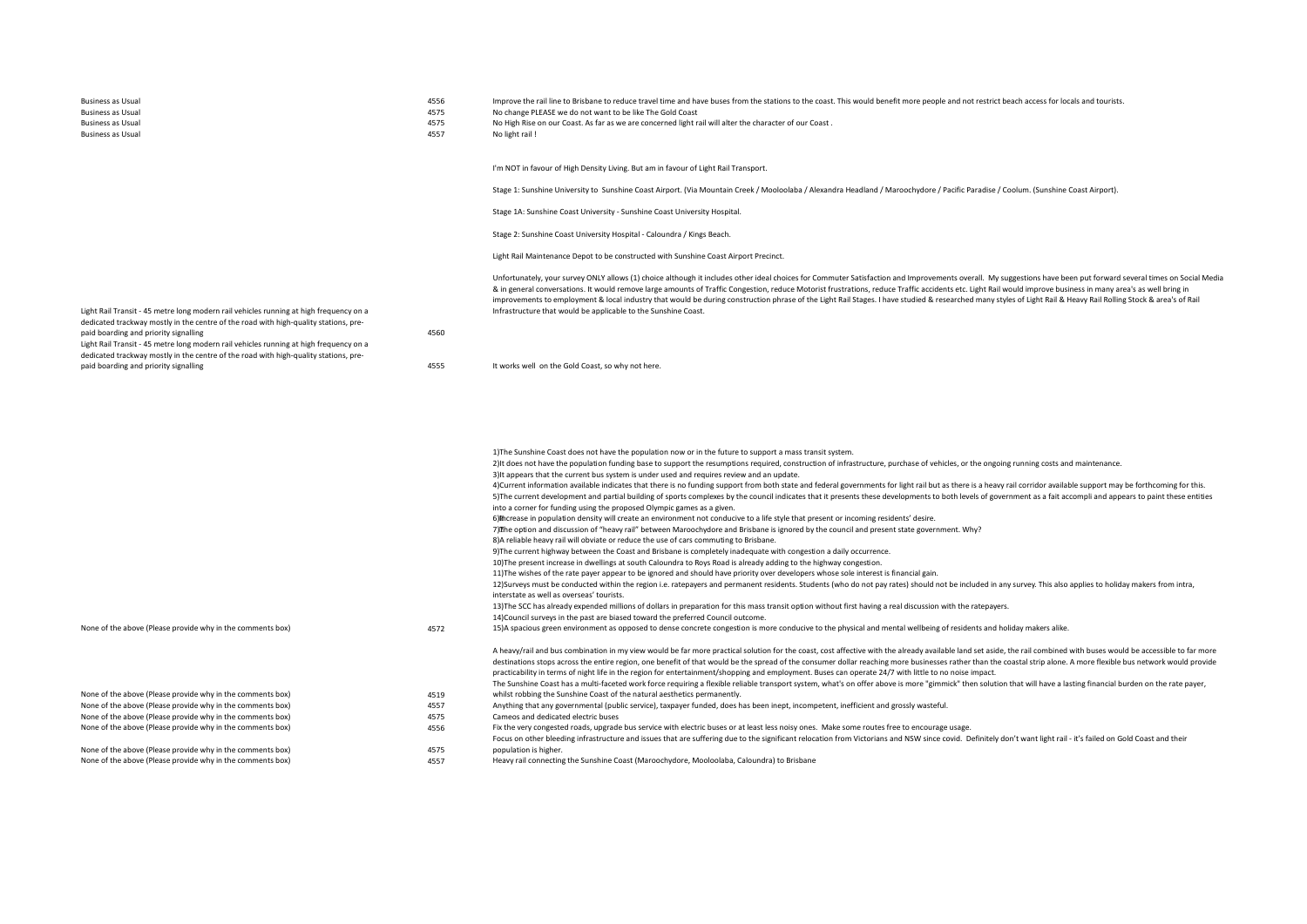- 
- Business as Usual and the restrict beach access for locals and to reduce the rail line to Brisbane to reduce travel time and have buses from the stations to the coast. This would benefit more people and not restrict beach

Business as Usual and the Usual 4575 All and the Usual 4575 No change PLEASE we do not want to be like The Gold Coast<br>As a state of the Business as Usual 4575 All and the Usual 4575 No High Rise on our Coast. As far as we Business as Usual and the compared as the compared of the ASTS As far as we are concerned light rail will alter the character of our Coast .<br>ASST And light rail !

Business as Usual 4557 No light rail 1 and 2008 No light rail 1 and 2008 No light rail 1 and 2008 No light rail 1 and 2008 No light rail 1 and 2008 No light rail 1 and 2008 No light rail 1 and 2008 No light rail 1 and 2008

I'm NOT in favour of High Density Living. But am in favour of Light Rail Transport.

Stage 1: Sunshine University to Sunshine Coast Airport. (Via Mountain Creek / Mooloolaba / Alexandra Headland / Maroochydore / Pacific Paradise / Coolum. (Sunshine Coast Airport).

Stage 1A: Sunshine Coast University - Sunshine Coast University Hospital.

Stage 2: Sunshine Coast University Hospital - Caloundra / Kings Beach.

Light Rail Maintenance Depot to be constructed with Sunshine Coast Airport Precinct.

Unfortunately, your survey ONLY allows (1) choice although it includes other ideal choices for Commuter Satisfaction and Improvements overall. My suggestions have been put forward several times on Social Media & in general conversations. It would remove large amounts of Traffic Congestion, reduce Motorist frustrations, reduce Traffic accidents etc. Light Rail would improve business in many area's as well bring in improvements to employment & local industry that would be during construction phrase of the Light Rail Stages. I have studied & researched many styles of Light Rail & Heavy Rail Rolling Stock & area's of Rail Infrastructure that would be applicable to the Sunshine Coast.

Light Rail Transit - 45 metre long modern rail vehicles running at high frequency on a dedicated trackway mostly in the centre of the road with high-quality stations, prepaid boarding and priority signalling and the state of the state of the state of the 4560 paid boarding 4560

Light Rail Transit - 45 metre long modern rail vehicles running at high frequency on a dedicated trackway mostly in the centre of the road with high-quality stations, pre-

4555 It works well on the Gold Coast, so why not here.

|                                                            |      | 1) The Sunshine Coast does not have the population now or in the future to support a mass transit system.                                                                                                                                                                                      |
|------------------------------------------------------------|------|------------------------------------------------------------------------------------------------------------------------------------------------------------------------------------------------------------------------------------------------------------------------------------------------|
|                                                            |      | 2) It does not have the population funding base to support the resumptions required, construction of infrastructure, purchase of vehicles, or the ongoing running costs and maintenance.                                                                                                       |
|                                                            |      | 3) It appears that the current bus system is under used and requires review and an update.                                                                                                                                                                                                     |
|                                                            |      | 4) Current information available indicates that there is no funding support from both state and federal governments for light rail but as there is a heavy rail corridor available support may be forthcoming for this.                                                                        |
|                                                            |      | 5) The current development and partial building of sports complexes by the council indicates that it presents these developments to both levels of government as a fait accompli and appears to paint these entities<br>into a corner for funding using the proposed Olympic games as a given. |
|                                                            |      | 6) Therease in population density will create an environment not conducive to a life style that present or incoming residents' desire.                                                                                                                                                         |
|                                                            |      | 7) The option and discussion of "heavy rail" between Maroochydore and Brisbane is ignored by the council and present state government. Why?                                                                                                                                                    |
|                                                            |      | 8) A reliable heavy rail will obviate or reduce the use of cars commuting to Brisbane.                                                                                                                                                                                                         |
|                                                            |      | 9) The current highway between the Coast and Brisbane is completely inadequate with congestion a daily occurrence.                                                                                                                                                                             |
|                                                            |      | 10) The present increase in dwellings at south Caloundra to Roys Road is already adding to the highway congestion.                                                                                                                                                                             |
|                                                            |      | 11) The wishes of the rate payer appear to be ignored and should have priority over developers whose sole interest is financial gain.                                                                                                                                                          |
|                                                            |      | 12) Surveys must be conducted within the region i.e. ratepayers and permanent residents. Students (who do not pay rates) should not be included in any survey. This also applies to holiday makers from intra,                                                                                 |
|                                                            |      | interstate as well as overseas' tourists.                                                                                                                                                                                                                                                      |
|                                                            |      | 13) The SCC has already expended millions of dollars in preparation for this mass transit option without first having a real discussion with the ratepayers.                                                                                                                                   |
|                                                            |      | 14) Council surveys in the past are biased toward the preferred Council outcome.                                                                                                                                                                                                               |
| None of the above (Please provide why in the comments box) | 4572 | 15)A spacious green environment as opposed to dense concrete congestion is more conducive to the physical and mental wellbeing of residents and holiday makers alike.                                                                                                                          |
|                                                            |      | A heavy/rail and bus combination in my view would be far more practical solution for the coast, cost affective with the already available land set aside, the rail combined with buses would be accessible to far more                                                                         |
|                                                            |      | destinations stops across the entire region, one benefit of that would be the spread of the consumer dollar reaching more businesses rather than the coastal strip alone. A more flexible bus network would provide                                                                            |
|                                                            |      | practicability in terms of night life in the region for entertainment/shopping and employment. Buses can operate 24/7 with little to no noise impact.                                                                                                                                          |
|                                                            |      | The Sunshine Coast has a multi-faceted work force requiring a flexible reliable transport system, what's on offer above is more "gimmick" then solution that will have a lasting financial burden on the rate payer,                                                                           |
| None of the above (Please provide why in the comments box) | 4519 | whilst robbing the Sunshine Coast of the natural aesthetics permanently.                                                                                                                                                                                                                       |
| None of the above (Please provide why in the comments box) | 4557 | Anything that any governmental (public service), taxpayer funded, does has been inept, incompetent, inefficient and grossly wasteful.                                                                                                                                                          |
| None of the above (Please provide why in the comments box) | 4575 | Cameos and dedicated electric buses                                                                                                                                                                                                                                                            |
| None of the above (Please provide why in the comments box) | 4556 | Fix the very congested roads, upgrade bus service with electric buses or at least less noisy ones. Make some routes free to encourage usage.                                                                                                                                                   |
|                                                            |      | Focus on other bleeding infrastructure and issues that are suffering due to the significant relocation from Victorians and NSW since covid. Definitely don't want light rail - it's failed on Gold Coast and their                                                                             |
| None of the above (Please provide why in the comments box) | 4575 | population is higher.                                                                                                                                                                                                                                                                          |
| None of the above (Please provide why in the comments box) | 4557 | Heavy rail connecting the Sunshine Coast (Maroochydore, Mooloolaba, Caloundra) to Brisbane                                                                                                                                                                                                     |
|                                                            |      |                                                                                                                                                                                                                                                                                                |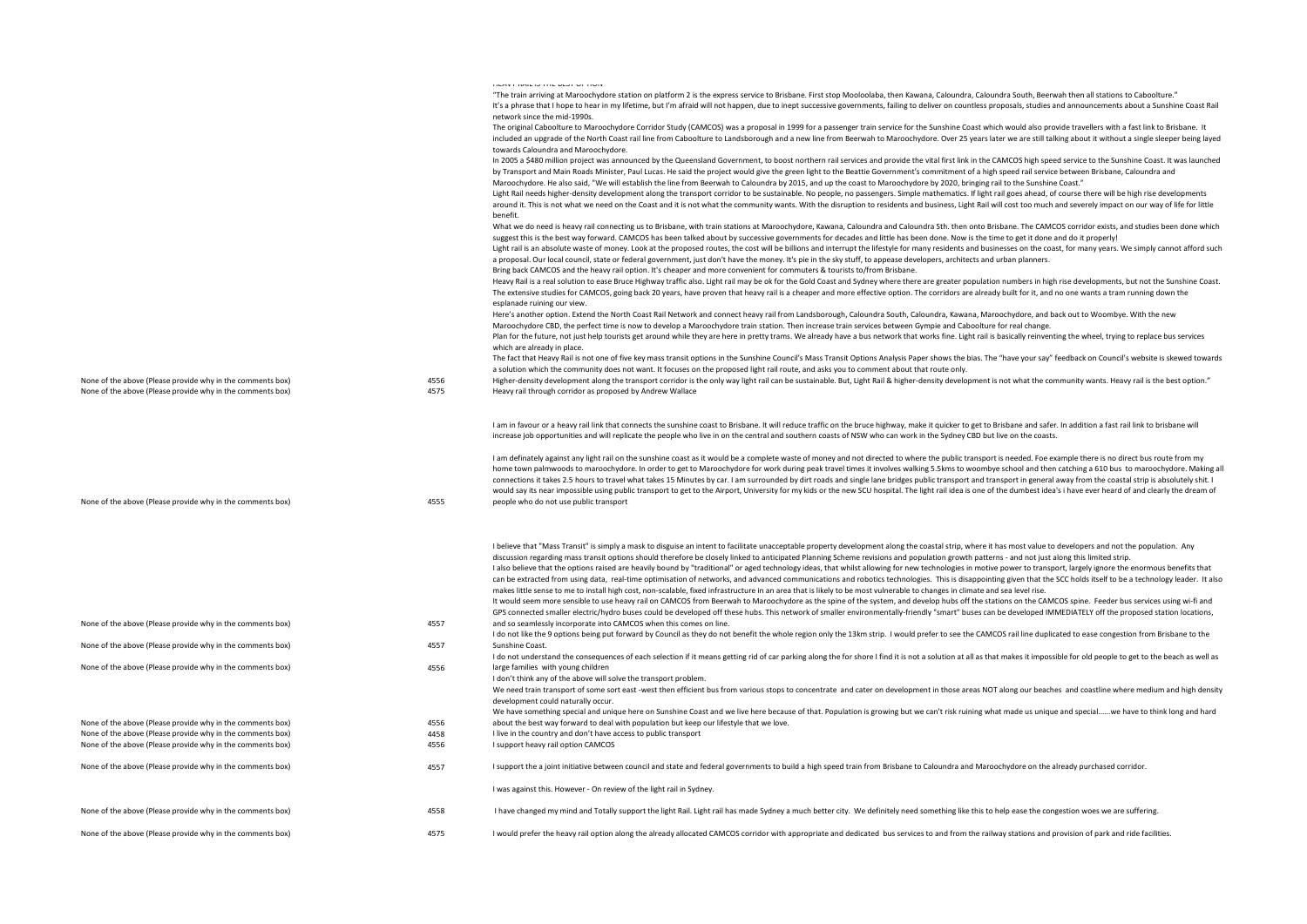|                                                            |      | THEM IT TUNISTIC THIS DEPT. OF THOM.<br>"The train arriving at Maroochydore station on platform 2 is the express service to Brisbane. First stop Mooloolaba, then Kawana, Caloundra, Caloundra South, Beerwah then all stations to Caboolture."                                                                                                                                                                                         |
|------------------------------------------------------------|------|-----------------------------------------------------------------------------------------------------------------------------------------------------------------------------------------------------------------------------------------------------------------------------------------------------------------------------------------------------------------------------------------------------------------------------------------|
|                                                            |      | It's a phrase that I hope to hear in my lifetime, but I'm afraid will not happen, due to inept successive governments, failing to deliver on countless proposals, studies and announcements about a Sunshine Coast Rail                                                                                                                                                                                                                 |
|                                                            |      | network since the mid-1990s.<br>The original Caboolture to Maroochydore Corridor Study (CAMCOS) was a proposal in 1999 for a passenger train service for the Sunshine Coast which would also provide travellers with a fast link to Brisbane. It                                                                                                                                                                                        |
|                                                            |      | included an upgrade of the North Coast rail line from Caboolture to Landsborough and a new line from Beerwah to Maroochydore. Over 25 years later we are still talking about it without a single sleeper being layed<br>towards Caloundra and Maroochydore.                                                                                                                                                                             |
|                                                            |      | In 2005 a \$480 million project was announced by the Queensland Government, to boost northern rail services and provide the vital first link in the CAMCOS high speed service to the Sunshine Coast. It was launched                                                                                                                                                                                                                    |
|                                                            |      | by Transport and Main Roads Minister, Paul Lucas. He said the project would give the green light to the Beattie Government's commitment of a high speed rail service between Brisbane, Caloundra and<br>Maroochydore. He also said, "We will establish the line from Beerwah to Caloundra by 2015, and up the coast to Maroochydore by 2020, bringing rail to the Sunshine Coast."                                                      |
|                                                            |      | Light Rail needs higher-density development along the transport corridor to be sustainable. No people, no passengers. Simple mathematics. If light rail goes ahead, of course there will be high rise developments                                                                                                                                                                                                                      |
|                                                            |      | around it. This is not what we need on the Coast and it is not what the community wants. With the disruption to residents and business, Light Rail will cost too much and severely impact on our way of life for little<br>henefit.                                                                                                                                                                                                     |
|                                                            |      | What we do need is heavy rail connecting us to Brisbane, with train stations at Maroochydore, Kawana, Caloundra and Caloundra Sth. then onto Brisbane. The CAMCOS corridor exists, and studies been done which                                                                                                                                                                                                                          |
|                                                            |      | suggest this is the best way forward. CAMCOS has been talked about by successive governments for decades and little has been done. Now is the time to get it done and do it properly!                                                                                                                                                                                                                                                   |
|                                                            |      | Light rail is an absolute waste of money. Look at the proposed routes, the cost will be billions and interrupt the lifestyle for many residents and businesses on the coast, for many years. We simply cannot afford such<br>a proposal. Our local council, state or federal government, just don't have the money. It's pie in the sky stuff, to appease developers, architects and urban planners.                                    |
|                                                            |      | Bring back CAMCOS and the heavy rail option. It's cheaper and more convenient for commuters & tourists to/from Brisbane.                                                                                                                                                                                                                                                                                                                |
|                                                            |      | Heavy Rail is a real solution to ease Bruce Highway traffic also. Light rail may be ok for the Gold Coast and Sydney where there are greater population numbers in high rise developments, but not the Sunshine Coast.                                                                                                                                                                                                                  |
|                                                            |      | The extensive studies for CAMCOS, going back 20 years, have proven that heavy rail is a cheaper and more effective option. The corridors are already built for it, and no one wants a tram running down the<br>esplanade ruining our view.                                                                                                                                                                                              |
|                                                            |      | Here's another option. Extend the North Coast Rail Network and connect heavy rail from Landsborough, Caloundra South, Caloundra, Kawana, Maroochydore, and back out to Woombye. With the new                                                                                                                                                                                                                                            |
|                                                            |      | Maroochydore CBD, the perfect time is now to develop a Maroochydore train station. Then increase train services between Gympie and Caboolture for real change.                                                                                                                                                                                                                                                                          |
|                                                            |      | Plan for the future, not just help tourists get around while they are here in pretty trams. We already have a bus network that works fine. Light rail is basically reinventing the wheel, trying to replace bus services                                                                                                                                                                                                                |
|                                                            |      | which are already in place.                                                                                                                                                                                                                                                                                                                                                                                                             |
|                                                            |      | The fact that Heavy Rail is not one of five key mass transit options in the Sunshine Council's Mass Transit Options Analysis Paper shows the bias. The "have your say" feedback on Council's website is skewed towards<br>a solution which the community does not want. It focuses on the proposed light rail route, and asks you to comment about that route only.                                                                     |
| None of the above (Please provide why in the comments box) | 4556 | Higher-density development along the transport corridor is the only way light rail can be sustainable. But, Light Rail & higher-density development is not what the community wants. Heavy rail is the best option."                                                                                                                                                                                                                    |
| None of the above (Please provide why in the comments box) | 4575 | Heavy rail through corridor as proposed by Andrew Wallace                                                                                                                                                                                                                                                                                                                                                                               |
|                                                            |      | I am in favour or a heavy rail link that connects the sunshine coast to Brisbane. It will reduce traffic on the bruce highway, make it quicker to get to Brisbane and safer. In addition a fast rail link to brisbane will                                                                                                                                                                                                              |
|                                                            |      | increase job opportunities and will replicate the people who live in on the central and southern coasts of NSW who can work in the Sydney CBD but live on the coasts.                                                                                                                                                                                                                                                                   |
|                                                            |      | I am definately against any light rail on the sunshine coast as it would be a complete waste of money and not directed to where the public transport is needed. Foe example there is no direct bus route from my                                                                                                                                                                                                                        |
|                                                            |      | home town palmwoods to maroochydore. In order to get to Maroochydore for work during peak travel times it involves walking 5.5kms to woombye school and then catching a 610 bus to maroochydore. Making all<br>connections it takes 2.5 hours to travel what takes 15 Minutes by car. I am surrounded by dirt roads and single lane bridges public transport and transport in general away from the coastal strip is absolutely shit. I |
|                                                            |      | would say its near impossible using public transport to get to the Airport, University for my kids or the new SCU hospital. The light rail idea is one of the dumbest idea's i have ever heard of and clearly the dream of                                                                                                                                                                                                              |
| None of the above (Please provide why in the comments box) | 4555 | people who do not use public transport                                                                                                                                                                                                                                                                                                                                                                                                  |
|                                                            |      |                                                                                                                                                                                                                                                                                                                                                                                                                                         |
|                                                            |      | I believe that "Mass Transit" is simply a mask to disguise an intent to facilitate unacceptable property development along the coastal strip, where it has most value to developers and not the population. Any<br>discussion regarding mass transit options should therefore be closely linked to anticipated Planning Scheme revisions and population growth patterns - and not just along this limited strip.                        |
|                                                            |      | I also believe that the options raised are heavily bound by "traditional" or aged technology ideas, that whilst allowing for new technologies in motive power to transport, largely ignore the enormous benefits that                                                                                                                                                                                                                   |
|                                                            |      | can be extracted from using data, real-time optimisation of networks, and advanced communications and robotics technologies. This is disappointing given that the SCC holds itself to be a technology leader. It also                                                                                                                                                                                                                   |
|                                                            |      | makes little sense to me to install high cost, non-scalable, fixed infrastructure in an area that is likely to be most vulnerable to changes in climate and sea level rise.                                                                                                                                                                                                                                                             |
|                                                            |      | It would seem more sensible to use heavy rail on CAMCOS from Beerwah to Maroochydore as the spine of the system, and develop hubs off the stations on the CAMCOS spine. Feeder bus services using wi-fi and<br>GPS connected smaller electric/hydro buses could be developed off these hubs. This network of smaller environmentally-friendly "smart" buses can be developed IMMEDIATELY off the proposed station locations,            |
| None of the above (Please provide why in the comments box) | 4557 | and so seamlessly incorporate into CAMCOS when this comes on line.                                                                                                                                                                                                                                                                                                                                                                      |
|                                                            |      | I do not like the 9 options being put forward by Council as they do not benefit the whole region only the 13km strip. I would prefer to see the CAMCOS rail line duplicated to ease congestion from Brisbane to the                                                                                                                                                                                                                     |
| None of the above (Please provide why in the comments box) | 4557 | Sunshine Coast.                                                                                                                                                                                                                                                                                                                                                                                                                         |
| None of the above (Please provide why in the comments box) | 4556 | I do not understand the consequences of each selection if it means getting rid of car parking along the for shore I find it is not a solution at all as that makes it impossible for old people to get to the beach as well as<br>large families with young children                                                                                                                                                                    |
|                                                            |      | I don't think any of the above will solve the transport problem.                                                                                                                                                                                                                                                                                                                                                                        |
|                                                            |      | We need train transport of some sort east -west then efficient bus from various stops to concentrate and cater on development in those areas NOT along our beaches and coastline where medium and high density                                                                                                                                                                                                                          |
|                                                            |      | development could naturally occur.                                                                                                                                                                                                                                                                                                                                                                                                      |
| None of the above (Please provide why in the comments box) | 4556 | We have something special and unique here on Sunshine Coast and we live here because of that. Population is growing but we can't risk ruining what made us unique and specialwe have to think long and hard                                                                                                                                                                                                                             |
| None of the above (Please provide why in the comments box) | 4458 | about the best way forward to deal with population but keep our lifestyle that we love.<br>I live in the country and don't have access to public transport                                                                                                                                                                                                                                                                              |
| None of the above (Please provide why in the comments box) | 4556 | I support heavy rail option CAMCOS                                                                                                                                                                                                                                                                                                                                                                                                      |
| None of the above (Please provide why in the comments box) | 4557 | I support the a joint initiative between council and state and federal governments to build a high speed train from Brisbane to Caloundra and Maroochydore on the already purchased corridor.                                                                                                                                                                                                                                           |
|                                                            |      | I was against this. However - On review of the light rail in Sydney.                                                                                                                                                                                                                                                                                                                                                                    |
| None of the above (Please provide why in the comments box) | 4558 | I have changed my mind and Totally support the light Rail. Light rail has made Sydney a much better city. We definitely need something like this to help ease the congestion woes we are suffering.                                                                                                                                                                                                                                     |
|                                                            | 4575 |                                                                                                                                                                                                                                                                                                                                                                                                                                         |
| None of the above (Please provide why in the comments box) |      | I would prefer the heavy rail option along the already allocated CAMCOS corridor with appropriate and dedicated bus services to and from the railway stations and provision of park and ride facilities.                                                                                                                                                                                                                                |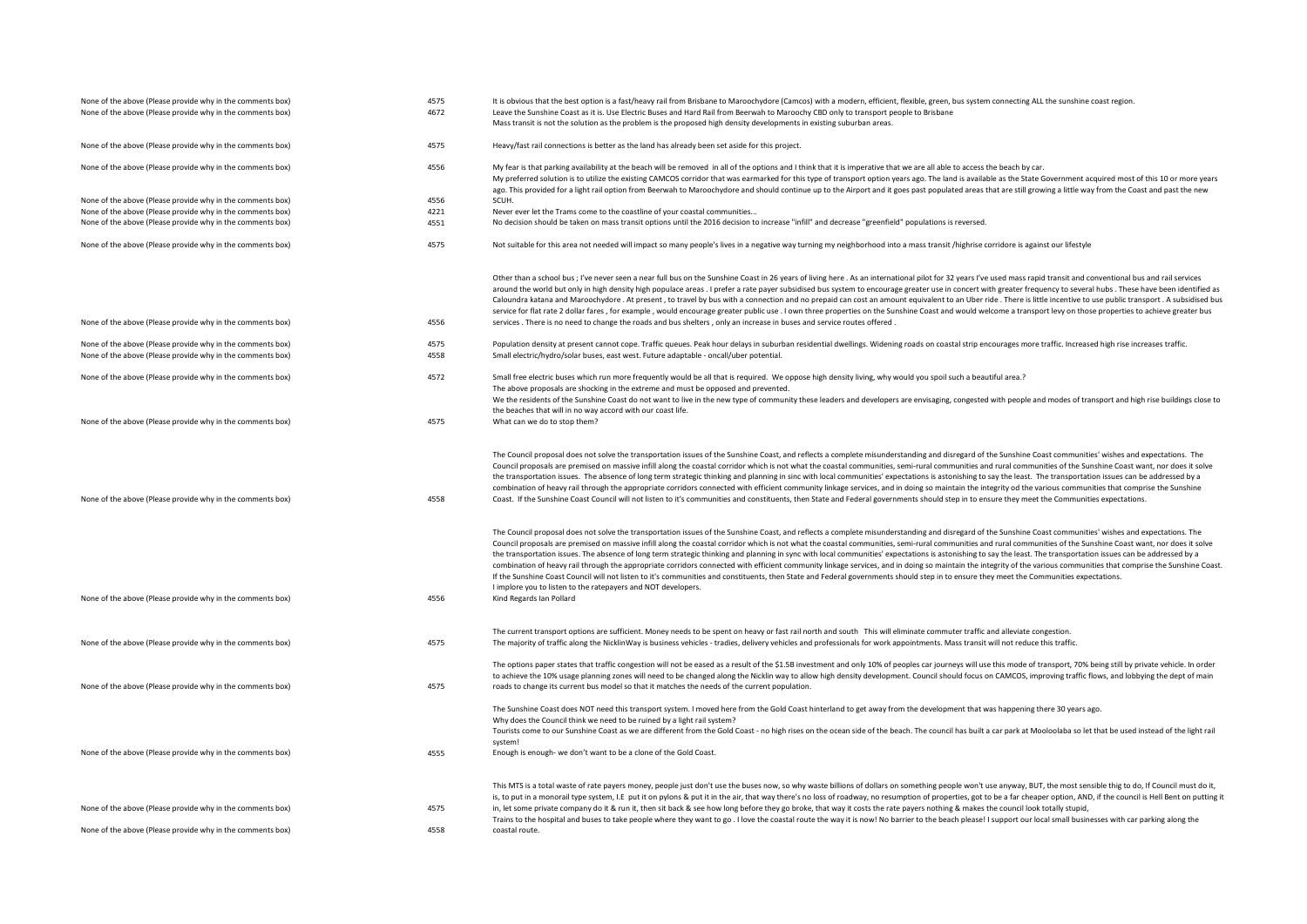| None of the above (Please provide why in the comments box) | 4575 | It is obvious that the best option is a fast/heavy rail from Brisbane to Maroochydore (Camcos) with a modern, efficient, flexible, green, bus system connecting ALL the sunshine coast region.                                                                                                                                                                                                                                                                                                                                                                                                                                                                                                                                                                                                                                                                                                                                                                                                                                                                                                                                                                        |
|------------------------------------------------------------|------|-----------------------------------------------------------------------------------------------------------------------------------------------------------------------------------------------------------------------------------------------------------------------------------------------------------------------------------------------------------------------------------------------------------------------------------------------------------------------------------------------------------------------------------------------------------------------------------------------------------------------------------------------------------------------------------------------------------------------------------------------------------------------------------------------------------------------------------------------------------------------------------------------------------------------------------------------------------------------------------------------------------------------------------------------------------------------------------------------------------------------------------------------------------------------|
| None of the above (Please provide why in the comments box) | 4672 | Leave the Sunshine Coast as it is. Use Electric Buses and Hard Rail from Beerwah to Maroochy CBD only to transport people to Brisbane                                                                                                                                                                                                                                                                                                                                                                                                                                                                                                                                                                                                                                                                                                                                                                                                                                                                                                                                                                                                                                 |
|                                                            |      | Mass transit is not the solution as the problem is the proposed high density developments in existing suburban areas.                                                                                                                                                                                                                                                                                                                                                                                                                                                                                                                                                                                                                                                                                                                                                                                                                                                                                                                                                                                                                                                 |
| None of the above (Please provide why in the comments box) | 4575 | Heavy/fast rail connections is better as the land has already been set aside for this project.                                                                                                                                                                                                                                                                                                                                                                                                                                                                                                                                                                                                                                                                                                                                                                                                                                                                                                                                                                                                                                                                        |
| None of the above (Please provide why in the comments box) | 4556 | My fear is that parking availability at the beach will be removed in all of the options and I think that it is imperative that we are all able to access the beach by car.                                                                                                                                                                                                                                                                                                                                                                                                                                                                                                                                                                                                                                                                                                                                                                                                                                                                                                                                                                                            |
|                                                            |      | My preferred solution is to utilize the existing CAMCOS corridor that was earmarked for this type of transport option years ago. The land is available as the State Government acquired most of this 10 or more years                                                                                                                                                                                                                                                                                                                                                                                                                                                                                                                                                                                                                                                                                                                                                                                                                                                                                                                                                 |
|                                                            |      | ago. This provided for a light rail option from Beerwah to Maroochydore and should continue up to the Airport and it goes past populated areas that are still growing a little way from the Coast and past the new                                                                                                                                                                                                                                                                                                                                                                                                                                                                                                                                                                                                                                                                                                                                                                                                                                                                                                                                                    |
|                                                            | 4556 | SCUH.                                                                                                                                                                                                                                                                                                                                                                                                                                                                                                                                                                                                                                                                                                                                                                                                                                                                                                                                                                                                                                                                                                                                                                 |
| None of the above (Please provide why in the comments box) | 4221 |                                                                                                                                                                                                                                                                                                                                                                                                                                                                                                                                                                                                                                                                                                                                                                                                                                                                                                                                                                                                                                                                                                                                                                       |
| None of the above (Please provide why in the comments box) |      | Never ever let the Trams come to the coastline of your coastal communities                                                                                                                                                                                                                                                                                                                                                                                                                                                                                                                                                                                                                                                                                                                                                                                                                                                                                                                                                                                                                                                                                            |
| None of the above (Please provide why in the comments box) | 4551 | No decision should be taken on mass transit options until the 2016 decision to increase "infill" and decrease "greenfield" populations is reversed.                                                                                                                                                                                                                                                                                                                                                                                                                                                                                                                                                                                                                                                                                                                                                                                                                                                                                                                                                                                                                   |
| None of the above (Please provide why in the comments box) | 4575 | Not suitable for this area not needed will impact so many people's lives in a negative way turning my neighborhood into a mass transit /highrise corridore is against our lifestyle                                                                                                                                                                                                                                                                                                                                                                                                                                                                                                                                                                                                                                                                                                                                                                                                                                                                                                                                                                                   |
|                                                            |      | Other than a school bus; I've never seen a near full bus on the Sunshine Coast in 26 years of living here. As an international pilot for 32 years I've used mass rapid transit and conventional bus and rail services                                                                                                                                                                                                                                                                                                                                                                                                                                                                                                                                                                                                                                                                                                                                                                                                                                                                                                                                                 |
|                                                            |      | around the world but only in high density high populace areas . I prefer a rate payer subsidised bus system to encourage greater use in concert with greater frequency to several hubs. These have been identified as                                                                                                                                                                                                                                                                                                                                                                                                                                                                                                                                                                                                                                                                                                                                                                                                                                                                                                                                                 |
|                                                            |      | Caloundra katana and Maroochydore . At present, to travel by bus with a connection and no prepaid can cost an amount equivalent to an Uber ride. There is little incentive to use public transport. A subsidised bus                                                                                                                                                                                                                                                                                                                                                                                                                                                                                                                                                                                                                                                                                                                                                                                                                                                                                                                                                  |
|                                                            |      | service for flat rate 2 dollar fares, for example, would encourage greater public use. I own three properties on the Sunshine Coast and would welcome a transport levy on those properties to achieve greater bus                                                                                                                                                                                                                                                                                                                                                                                                                                                                                                                                                                                                                                                                                                                                                                                                                                                                                                                                                     |
| None of the above (Please provide why in the comments box) | 4556 | services. There is no need to change the roads and bus shelters, only an increase in buses and service routes offered.                                                                                                                                                                                                                                                                                                                                                                                                                                                                                                                                                                                                                                                                                                                                                                                                                                                                                                                                                                                                                                                |
| None of the above (Please provide why in the comments box) | 4575 | Population density at present cannot cope. Traffic queues. Peak hour delays in suburban residential dwellings. Widening roads on coastal strip encourages more traffic. Increased high rise increases traffic.                                                                                                                                                                                                                                                                                                                                                                                                                                                                                                                                                                                                                                                                                                                                                                                                                                                                                                                                                        |
| None of the above (Please provide why in the comments box) | 4558 | Small electric/hydro/solar buses, east west. Future adaptable - oncall/uber potential.                                                                                                                                                                                                                                                                                                                                                                                                                                                                                                                                                                                                                                                                                                                                                                                                                                                                                                                                                                                                                                                                                |
|                                                            |      |                                                                                                                                                                                                                                                                                                                                                                                                                                                                                                                                                                                                                                                                                                                                                                                                                                                                                                                                                                                                                                                                                                                                                                       |
| None of the above (Please provide why in the comments box) | 4572 | Small free electric buses which run more frequently would be all that is required. We oppose high density living, why would you spoil such a beautiful area.?                                                                                                                                                                                                                                                                                                                                                                                                                                                                                                                                                                                                                                                                                                                                                                                                                                                                                                                                                                                                         |
|                                                            |      | The above proposals are shocking in the extreme and must be opposed and prevented.                                                                                                                                                                                                                                                                                                                                                                                                                                                                                                                                                                                                                                                                                                                                                                                                                                                                                                                                                                                                                                                                                    |
|                                                            |      | We the residents of the Sunshine Coast do not want to live in the new type of community these leaders and developers are envisaging, congested with people and modes of transport and high rise buildings close to                                                                                                                                                                                                                                                                                                                                                                                                                                                                                                                                                                                                                                                                                                                                                                                                                                                                                                                                                    |
|                                                            |      | the beaches that will in no way accord with our coast life.                                                                                                                                                                                                                                                                                                                                                                                                                                                                                                                                                                                                                                                                                                                                                                                                                                                                                                                                                                                                                                                                                                           |
| None of the above (Please provide why in the comments box) | 4575 | What can we do to stop them?                                                                                                                                                                                                                                                                                                                                                                                                                                                                                                                                                                                                                                                                                                                                                                                                                                                                                                                                                                                                                                                                                                                                          |
| None of the above (Please provide why in the comments box) | 4558 | The Council proposal does not solve the transportation issues of the Sunshine Coast, and reflects a complete misunderstanding and disregard of the Sunshine Coast communities' wishes and expectations. The<br>Council proposals are premised on massive infill along the coastal corridor which is not what the coastal communities, semi-rural communities and rural communities of the Sunshine Coast want, nor does it solve<br>the transportation issues. The absence of long term strategic thinking and planning in sinc with local communities' expectations is astonishing to say the least. The transportation issues can be addressed by a<br>combination of heavy rail through the appropriate corridors connected with efficient community linkage services, and in doing so maintain the integrity od the various communities that comprise the Sunshine<br>Coast. If the Sunshine Coast Council will not listen to it's communities and constituents, then State and Federal governments should step in to ensure they meet the Communities expectations.                                                                                              |
| None of the above (Please provide why in the comments box) | 4556 | The Council proposal does not solve the transportation issues of the Sunshine Coast, and reflects a complete misunderstanding and disregard of the Sunshine Coast communities' wishes and expectations. The<br>Council proposals are premised on massive infill along the coastal corridor which is not what the coastal communities, semi-rural communities and rural communities of the Sunshine Coast want, nor does it solve<br>the transportation issues. The absence of long term strategic thinking and planning in sync with local communities' expectations is astonishing to say the least. The transportation issues can be addressed by a<br>combination of heavy rail through the appropriate corridors connected with efficient community linkage services, and in doing so maintain the integrity of the various communities that comprise the Sunshine Coast.<br>If the Sunshine Coast Council will not listen to it's communities and constituents, then State and Federal governments should step in to ensure they meet the Communities expectations.<br>I implore you to listen to the ratepayers and NOT developers.<br>Kind Regards Ian Pollard |
|                                                            |      | The current transport options are sufficient. Money needs to be spent on heavy or fast rail north and south This will eliminate commuter traffic and alleviate congestion.                                                                                                                                                                                                                                                                                                                                                                                                                                                                                                                                                                                                                                                                                                                                                                                                                                                                                                                                                                                            |
| None of the above (Please provide why in the comments box) | 4575 | The majority of traffic along the NicklinWay is business vehicles - tradies, delivery vehicles and professionals for work appointments. Mass transit will not reduce this traffic.                                                                                                                                                                                                                                                                                                                                                                                                                                                                                                                                                                                                                                                                                                                                                                                                                                                                                                                                                                                    |
| None of the above (Please provide why in the comments box) | 4575 | The options paper states that traffic congestion will not be eased as a result of the \$1.5B investment and only 10% of peoples car journeys will use this mode of transport, 70% being still by private vehicle. In order<br>to achieve the 10% usage planning zones will need to be changed along the Nicklin way to allow high density development. Council should focus on CAMCOS, improving traffic flows, and lobbying the dept of main<br>roads to change its current bus model so that it matches the needs of the current population.                                                                                                                                                                                                                                                                                                                                                                                                                                                                                                                                                                                                                        |
|                                                            |      | The Sunshine Coast does NOT need this transport system. I moved here from the Gold Coast hinterland to get away from the development that was happening there 30 years ago.                                                                                                                                                                                                                                                                                                                                                                                                                                                                                                                                                                                                                                                                                                                                                                                                                                                                                                                                                                                           |
| None of the above (Please provide why in the comments box) | 4555 | Why does the Council think we need to be ruined by a light rail system?<br>Tourists come to our Sunshine Coast as we are different from the Gold Coast - no high rises on the ocean side of the beach. The council has built a car park at Mooloolaba so let that be used instead of the light rail<br>system!<br>Enough is enough- we don't want to be a clone of the Gold Coast.                                                                                                                                                                                                                                                                                                                                                                                                                                                                                                                                                                                                                                                                                                                                                                                    |
|                                                            |      |                                                                                                                                                                                                                                                                                                                                                                                                                                                                                                                                                                                                                                                                                                                                                                                                                                                                                                                                                                                                                                                                                                                                                                       |
|                                                            |      | This MTS is a total waste of rate payers money, people just don't use the buses now, so why waste billions of dollars on something people won't use anyway, BUT, the most sensible thig to do, If Council must do it,                                                                                                                                                                                                                                                                                                                                                                                                                                                                                                                                                                                                                                                                                                                                                                                                                                                                                                                                                 |
|                                                            |      | is, to put in a monorail type system, I.E put it on pylons & put it in the air, that way there's no loss of roadway, no resumption of properties, got to be a far cheaper option, AND, if the council is Hell Bent on putting                                                                                                                                                                                                                                                                                                                                                                                                                                                                                                                                                                                                                                                                                                                                                                                                                                                                                                                                         |
| None of the above (Please provide why in the comments box) | 4575 | in, let some private company do it & run it, then sit back & see how long before they go broke, that way it costs the rate payers nothing & makes the council look totally stupid,                                                                                                                                                                                                                                                                                                                                                                                                                                                                                                                                                                                                                                                                                                                                                                                                                                                                                                                                                                                    |
|                                                            |      | Trains to the hospital and buses to take people where they want to go. I love the coastal route the way it is now! No barrier to the beach please! I support our local small businesses with car parking along the                                                                                                                                                                                                                                                                                                                                                                                                                                                                                                                                                                                                                                                                                                                                                                                                                                                                                                                                                    |
| None of the above (Please provide why in the comments box) | 4558 | coastal route.                                                                                                                                                                                                                                                                                                                                                                                                                                                                                                                                                                                                                                                                                                                                                                                                                                                                                                                                                                                                                                                                                                                                                        |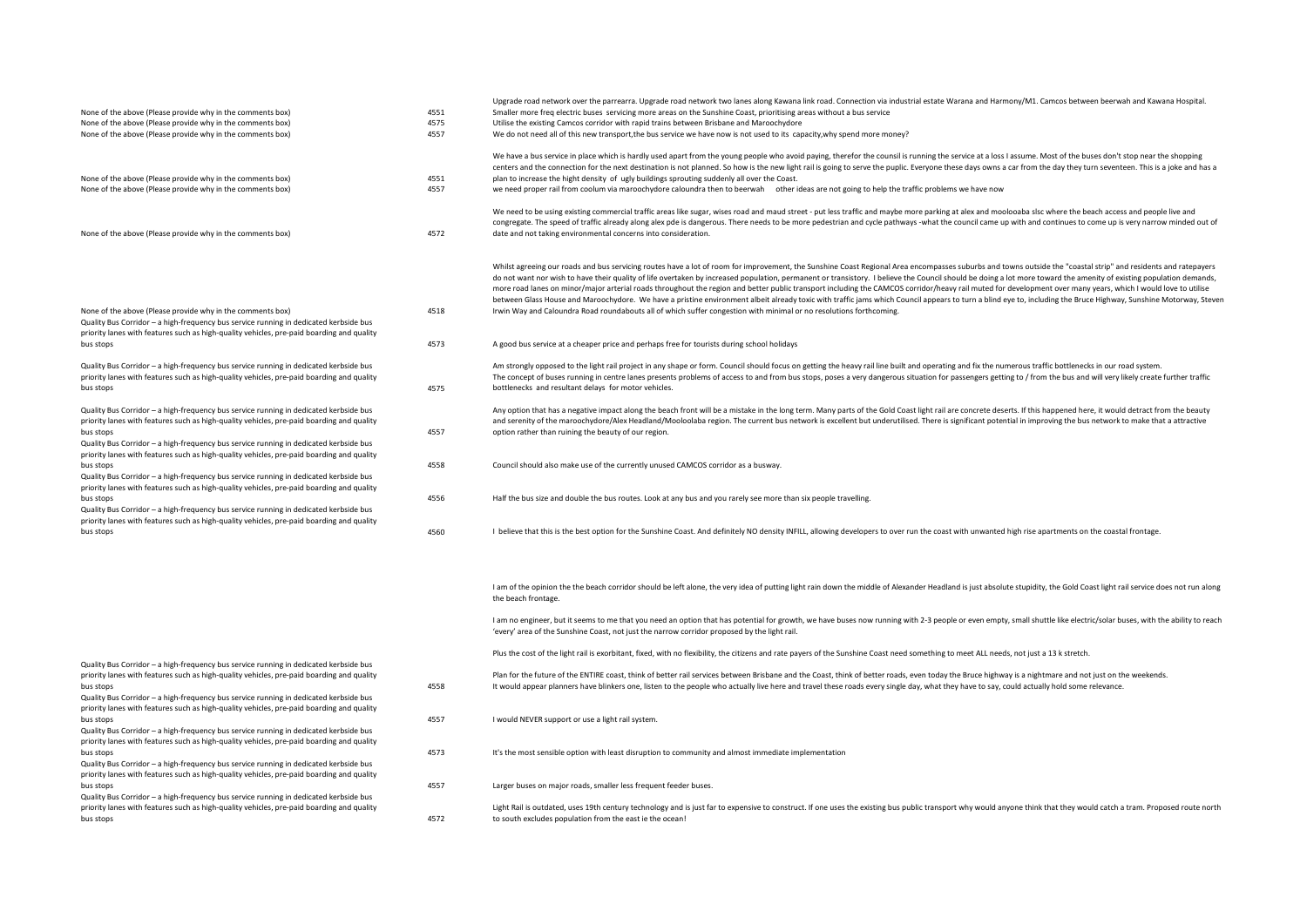|                                                                                                                                                                                                                                                  |      | Upgrade road network over the parrearra. Upgrade road network two lanes along Kawana link road. Connection via industrial estate Warana and Harmony/M1. Camcos between beerwah and Kawana Hospital.                                                                                                                                                                                                                                                                                                                                                                                                                                                    |
|--------------------------------------------------------------------------------------------------------------------------------------------------------------------------------------------------------------------------------------------------|------|--------------------------------------------------------------------------------------------------------------------------------------------------------------------------------------------------------------------------------------------------------------------------------------------------------------------------------------------------------------------------------------------------------------------------------------------------------------------------------------------------------------------------------------------------------------------------------------------------------------------------------------------------------|
| None of the above (Please provide why in the comments box)                                                                                                                                                                                       | 4551 | Smaller more freq electric buses servicing more areas on the Sunshine Coast, prioritising areas without a bus service                                                                                                                                                                                                                                                                                                                                                                                                                                                                                                                                  |
| None of the above (Please provide why in the comments box)                                                                                                                                                                                       | 4575 | Utilise the existing Camcos corridor with rapid trains between Brisbane and Maroochydore                                                                                                                                                                                                                                                                                                                                                                                                                                                                                                                                                               |
| None of the above (Please provide why in the comments box)                                                                                                                                                                                       | 4557 | We do not need all of this new transport, the bus service we have now is not used to its capacity, why spend more money?                                                                                                                                                                                                                                                                                                                                                                                                                                                                                                                               |
|                                                                                                                                                                                                                                                  |      | We have a bus service in place which is hardly used apart from the young people who avoid paying, therefor the counsil is running the service at a loss I assume. Most of the buses don't stop near the shopping                                                                                                                                                                                                                                                                                                                                                                                                                                       |
|                                                                                                                                                                                                                                                  |      | centers and the connection for the next destination is not planned. So how is the new light rail is going to serve the puplic. Everyone these days owns a car from the day they turn seventeen. This is a joke and has a                                                                                                                                                                                                                                                                                                                                                                                                                               |
| None of the above (Please provide why in the comments box)                                                                                                                                                                                       | 4551 | plan to increase the hight density of ugly buildings sprouting suddenly all over the Coast.                                                                                                                                                                                                                                                                                                                                                                                                                                                                                                                                                            |
| None of the above (Please provide why in the comments box)                                                                                                                                                                                       | 4557 | we need proper rail from coolum via maroochydore caloundra then to beerwah other ideas are not going to help the traffic problems we have now                                                                                                                                                                                                                                                                                                                                                                                                                                                                                                          |
|                                                                                                                                                                                                                                                  |      | We need to be using existing commercial traffic areas like sugar, wises road and maud street - put less traffic and maybe more parking at alex and moolooaba slsc where the beach access and people live and<br>congregate. The speed of traffic already along alex pde is dangerous. There needs to be more pedestrian and cycle pathways -what the council came up with and continues to come up is very narrow minded out of                                                                                                                                                                                                                        |
| None of the above (Please provide why in the comments box)                                                                                                                                                                                       | 4572 | date and not taking environmental concerns into consideration.                                                                                                                                                                                                                                                                                                                                                                                                                                                                                                                                                                                         |
|                                                                                                                                                                                                                                                  |      | Whilst agreeing our roads and bus servicing routes have a lot of room for improvement, the Sunshine Coast Regional Area encompasses suburbs and towns outside the "coastal strip" and residents and ratepayers<br>do not want nor wish to have their quality of life overtaken by increased population, permanent or transistory. I believe the Council should be doing a lot more toward the amenity of existing population demands,<br>more road lanes on minor/major arterial roads throughout the region and better public transport including the CAMCOS corridor/heavy rail muted for development over many years, which I would love to utilise |
| None of the above (Please provide why in the comments box)<br>Quality Bus Corridor - a high-frequency bus service running in dedicated kerbside bus<br>priority lanes with features such as high-quality vehicles, pre-paid boarding and quality | 4518 | between Glass House and Maroochydore. We have a pristine environment albeit already toxic with traffic jams which Council appears to turn a blind eye to, including the Bruce Highway, Sunshine Motorway, Steven<br>Irwin Way and Caloundra Road roundabouts all of which suffer congestion with minimal or no resolutions forthcoming.                                                                                                                                                                                                                                                                                                                |
| bus stops                                                                                                                                                                                                                                        | 4573 | A good bus service at a cheaper price and perhaps free for tourists during school holidays                                                                                                                                                                                                                                                                                                                                                                                                                                                                                                                                                             |
| Quality Bus Corridor - a high-frequency bus service running in dedicated kerbside bus<br>priority lanes with features such as high-quality vehicles, pre-paid boarding and quality                                                               |      | Am strongly opposed to the light rail project in any shape or form. Council should focus on getting the heavy rail line built and operating and fix the numerous traffic bottlenecks in our road system.<br>The concept of buses running in centre lanes presents problems of access to and from bus stops, poses a very dangerous situation for passengers getting to / from the bus and will very likely create further traffic                                                                                                                                                                                                                      |
| bus stops                                                                                                                                                                                                                                        | 4575 | bottlenecks and resultant delays for motor vehicles.                                                                                                                                                                                                                                                                                                                                                                                                                                                                                                                                                                                                   |
| Quality Bus Corridor - a high-frequency bus service running in dedicated kerbside bus<br>priority lanes with features such as high-quality vehicles, pre-paid boarding and quality                                                               |      | Any option that has a negative impact along the beach front will be a mistake in the long term. Many parts of the Gold Coast light rail are concrete deserts. If this happened here, it would detract from the beauty<br>and serenity of the maroochydore/Alex Headland/Mooloolaba region. The current bus network is excellent but underutilised. There is significant potential in improving the bus network to make that a attractive                                                                                                                                                                                                               |
| bus stops                                                                                                                                                                                                                                        | 4557 | option rather than ruining the beauty of our region.                                                                                                                                                                                                                                                                                                                                                                                                                                                                                                                                                                                                   |
| Quality Bus Corridor - a high-frequency bus service running in dedicated kerbside bus                                                                                                                                                            |      |                                                                                                                                                                                                                                                                                                                                                                                                                                                                                                                                                                                                                                                        |
| priority lanes with features such as high-quality vehicles, pre-paid boarding and quality                                                                                                                                                        |      |                                                                                                                                                                                                                                                                                                                                                                                                                                                                                                                                                                                                                                                        |
| bus stops                                                                                                                                                                                                                                        | 4558 | Council should also make use of the currently unused CAMCOS corridor as a busway.                                                                                                                                                                                                                                                                                                                                                                                                                                                                                                                                                                      |
| Quality Bus Corridor - a high-frequency bus service running in dedicated kerbside bus<br>priority lanes with features such as high-quality vehicles, pre-paid boarding and quality                                                               |      |                                                                                                                                                                                                                                                                                                                                                                                                                                                                                                                                                                                                                                                        |
| bus stops                                                                                                                                                                                                                                        | 4556 | Half the bus size and double the bus routes. Look at any bus and you rarely see more than six people travelling.                                                                                                                                                                                                                                                                                                                                                                                                                                                                                                                                       |
| Quality Bus Corridor - a high-frequency bus service running in dedicated kerbside bus                                                                                                                                                            |      |                                                                                                                                                                                                                                                                                                                                                                                                                                                                                                                                                                                                                                                        |
| priority lanes with features such as high-quality vehicles, pre-paid boarding and quality                                                                                                                                                        |      |                                                                                                                                                                                                                                                                                                                                                                                                                                                                                                                                                                                                                                                        |
| bus stops                                                                                                                                                                                                                                        | 4560 | I believe that this is the best option for the Sunshine Coast. And definitely NO density INFILL, allowing developers to over run the coast with unwanted high rise apartments on the coastal frontage.                                                                                                                                                                                                                                                                                                                                                                                                                                                 |
|                                                                                                                                                                                                                                                  |      | I am of the opinion the the beach corridor should be left alone, the very idea of putting light rain down the middle of Alexander Headland is just absolute stupidity, the Gold Coast light rail service does not run along<br>the beach frontage.                                                                                                                                                                                                                                                                                                                                                                                                     |
|                                                                                                                                                                                                                                                  |      | I am no engineer, but it seems to me that you need an option that has potential for growth, we have buses now running with 2-3 people or even empty, small shuttle like electric/solar buses, with the ability to reach<br>'every' area of the Sunshine Coast, not just the narrow corridor proposed by the light rail.                                                                                                                                                                                                                                                                                                                                |
| Quality Bus Corridor - a high-frequency bus service running in dedicated kerbside bus                                                                                                                                                            |      | Plus the cost of the light rail is exorbitant, fixed, with no flexibility, the citizens and rate payers of the Sunshine Coast need something to meet ALL needs, not just a 13 k stretch.                                                                                                                                                                                                                                                                                                                                                                                                                                                               |
| priority lanes with features such as high-quality vehicles, pre-paid boarding and quality                                                                                                                                                        |      | Plan for the future of the ENTIRE coast, think of better rail services between Brisbane and the Coast, think of better roads, even today the Bruce highway is a nightmare and not just on the weekends.                                                                                                                                                                                                                                                                                                                                                                                                                                                |
| bus stops                                                                                                                                                                                                                                        | 4558 | It would appear planners have blinkers one, listen to the people who actually live here and travel these roads every single day, what they have to say, could actually hold some relevance.                                                                                                                                                                                                                                                                                                                                                                                                                                                            |
| Quality Bus Corridor - a high-frequency bus service running in dedicated kerbside bus                                                                                                                                                            |      |                                                                                                                                                                                                                                                                                                                                                                                                                                                                                                                                                                                                                                                        |
| priority lanes with features such as high-quality vehicles, pre-paid boarding and quality                                                                                                                                                        |      |                                                                                                                                                                                                                                                                                                                                                                                                                                                                                                                                                                                                                                                        |
| bus stops<br>Quality Bus Corridor - a high-frequency bus service running in dedicated kerbside bus                                                                                                                                               | 4557 | I would NEVER support or use a light rail system.                                                                                                                                                                                                                                                                                                                                                                                                                                                                                                                                                                                                      |
| priority lanes with features such as high-quality vehicles, pre-paid boarding and quality                                                                                                                                                        |      |                                                                                                                                                                                                                                                                                                                                                                                                                                                                                                                                                                                                                                                        |
| bus stops                                                                                                                                                                                                                                        | 4573 | It's the most sensible option with least disruption to community and almost immediate implementation                                                                                                                                                                                                                                                                                                                                                                                                                                                                                                                                                   |
| Quality Bus Corridor - a high-frequency bus service running in dedicated kerbside bus<br>priority lanes with features such as high-quality vehicles, pre-paid boarding and quality                                                               |      |                                                                                                                                                                                                                                                                                                                                                                                                                                                                                                                                                                                                                                                        |
| bus stops                                                                                                                                                                                                                                        | 4557 | Larger buses on major roads, smaller less frequent feeder buses.                                                                                                                                                                                                                                                                                                                                                                                                                                                                                                                                                                                       |
| Quality Bus Corridor - a high-frequency bus service running in dedicated kerbside bus                                                                                                                                                            |      |                                                                                                                                                                                                                                                                                                                                                                                                                                                                                                                                                                                                                                                        |
| priority lanes with features such as high-quality vehicles, pre-paid boarding and quality<br>bus stops                                                                                                                                           | 4572 | Light Rail is outdated, uses 19th century technology and is just far to expensive to construct. If one uses the existing bus public transport why would anyone think that they would catch a tram. Proposed route north<br>to south excludes population from the east ie the ocean!                                                                                                                                                                                                                                                                                                                                                                    |
|                                                                                                                                                                                                                                                  |      |                                                                                                                                                                                                                                                                                                                                                                                                                                                                                                                                                                                                                                                        |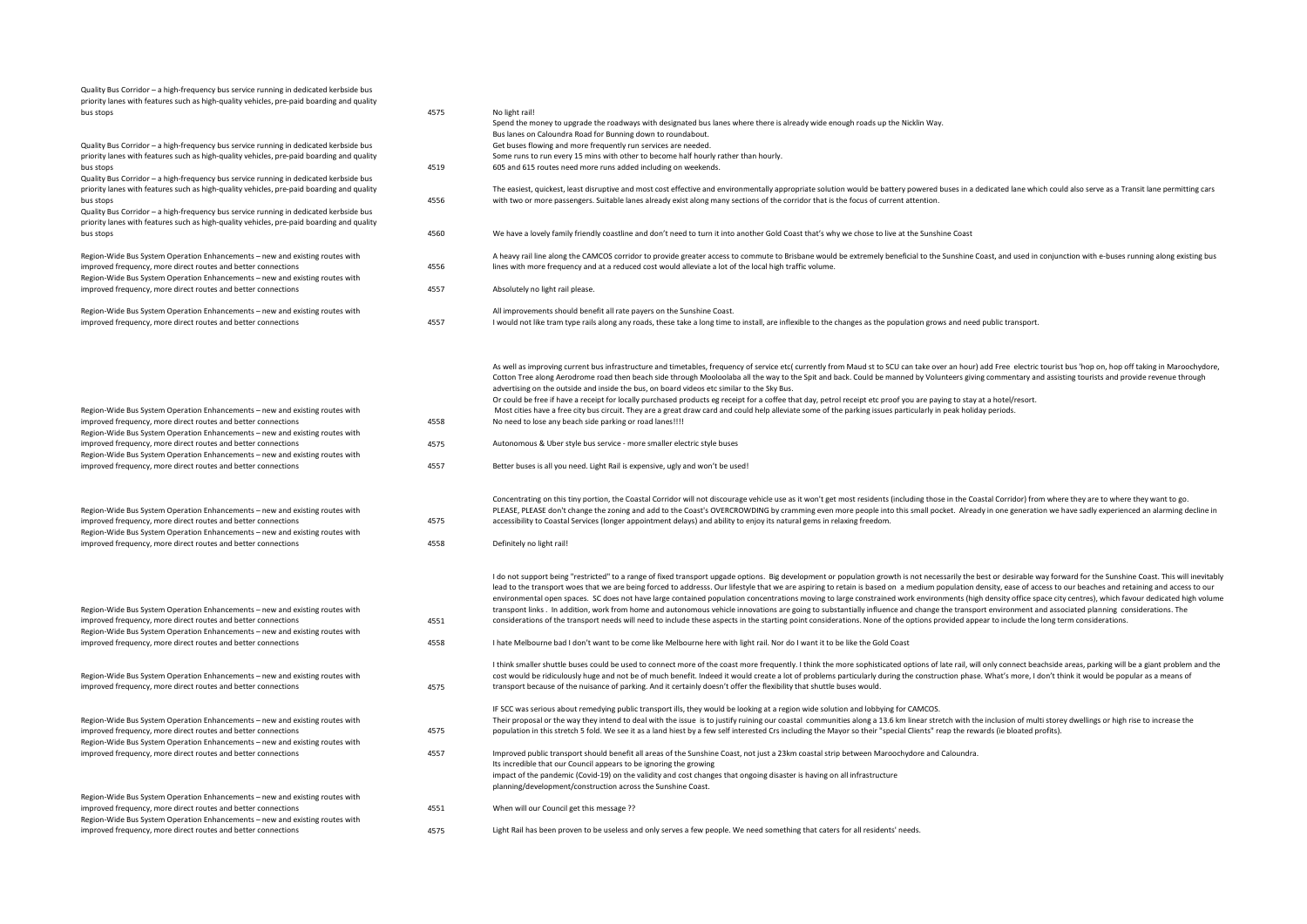| Quality Bus Corridor - a high-frequency bus service running in dedicated kerbside bus<br>priority lanes with features such as high-quality vehicles, pre-paid boarding and quality<br>bus stops                                                                                                | 4575         | No light rail!<br>Spend the money to upgrade the roadways with designated bus lanes where there is already wide enough roads up the Nicklin Way.                                                                                                                                                                                                                                                                                                                                                                                                                                                                                                                                                                                                                                                                                                                                                                                                                                                                                                                             |
|------------------------------------------------------------------------------------------------------------------------------------------------------------------------------------------------------------------------------------------------------------------------------------------------|--------------|------------------------------------------------------------------------------------------------------------------------------------------------------------------------------------------------------------------------------------------------------------------------------------------------------------------------------------------------------------------------------------------------------------------------------------------------------------------------------------------------------------------------------------------------------------------------------------------------------------------------------------------------------------------------------------------------------------------------------------------------------------------------------------------------------------------------------------------------------------------------------------------------------------------------------------------------------------------------------------------------------------------------------------------------------------------------------|
| Quality Bus Corridor - a high-frequency bus service running in dedicated kerbside bus<br>priority lanes with features such as high-quality vehicles, pre-paid boarding and quality<br>bus stops                                                                                                | 4519         | Bus lanes on Caloundra Road for Bunning down to roundabout.<br>Get buses flowing and more frequently run services are needed.<br>Some runs to run every 15 mins with other to become half hourly rather than hourly.<br>605 and 615 routes need more runs added including on weekends.                                                                                                                                                                                                                                                                                                                                                                                                                                                                                                                                                                                                                                                                                                                                                                                       |
| Quality Bus Corridor - a high-frequency bus service running in dedicated kerbside bus<br>priority lanes with features such as high-quality vehicles, pre-paid boarding and quality<br>bus stops<br>Quality Bus Corridor - a high-frequency bus service running in dedicated kerbside bus       | 4556         | The easiest, quickest, least disruptive and most cost effective and environmentally appropriate solution would be battery powered buses in a dedicated lane which could also serve as a Transit lane permitting cars<br>with two or more passengers. Suitable lanes already exist along many sections of the corridor that is the focus of current attention.                                                                                                                                                                                                                                                                                                                                                                                                                                                                                                                                                                                                                                                                                                                |
| priority lanes with features such as high-quality vehicles, pre-paid boarding and quality<br>bus stops                                                                                                                                                                                         | 4560         | We have a lovely family friendly coastline and don't need to turn it into another Gold Coast that's why we chose to live at the Sunshine Coast                                                                                                                                                                                                                                                                                                                                                                                                                                                                                                                                                                                                                                                                                                                                                                                                                                                                                                                               |
| Region-Wide Bus System Operation Enhancements - new and existing routes with<br>improved frequency, more direct routes and better connections<br>Region-Wide Bus System Operation Enhancements - new and existing routes with                                                                  | 4556         | A heavy rail line along the CAMCOS corridor to provide greater access to commute to Brisbane would be extremely beneficial to the Sunshine Coast, and used in conjunction with e-buses running along existing bus<br>lines with more frequency and at a reduced cost would alleviate a lot of the local high traffic volume.                                                                                                                                                                                                                                                                                                                                                                                                                                                                                                                                                                                                                                                                                                                                                 |
| improved frequency, more direct routes and better connections                                                                                                                                                                                                                                  | 4557         | Absolutely no light rail please.                                                                                                                                                                                                                                                                                                                                                                                                                                                                                                                                                                                                                                                                                                                                                                                                                                                                                                                                                                                                                                             |
| Region-Wide Bus System Operation Enhancements - new and existing routes with<br>improved frequency, more direct routes and better connections                                                                                                                                                  | 4557         | All improvements should benefit all rate payers on the Sunshine Coast.<br>I would not like tram type rails along any roads, these take a long time to install, are inflexible to the changes as the population grows and need public transport.                                                                                                                                                                                                                                                                                                                                                                                                                                                                                                                                                                                                                                                                                                                                                                                                                              |
| Region-Wide Bus System Operation Enhancements - new and existing routes with                                                                                                                                                                                                                   |              | As well as improving current bus infrastructure and timetables, frequency of service etc( currently from Maud st to SCU can take over an hour) add Free electric tourist bus 'hop on, hop off taking in Maroochydore,<br>Cotton Tree along Aerodrome road then beach side through Mooloolaba all the way to the Spit and back. Could be manned by Volunteers giving commentary and assisting tourists and provide revenue through<br>advertising on the outside and inside the bus, on board videos etc similar to the Sky Bus.<br>Or could be free if have a receipt for locally purchased products eg receipt for a coffee that day, petrol receipt etc proof you are paying to stay at a hotel/resort.<br>Most cities have a free city bus circuit. They are a great draw card and could help alleviate some of the parking issues particularly in peak holiday periods.                                                                                                                                                                                                  |
| improved frequency, more direct routes and better connections<br>Region-Wide Bus System Operation Enhancements - new and existing routes with                                                                                                                                                  | 4558         | No need to lose any beach side parking or road lanes !!!!                                                                                                                                                                                                                                                                                                                                                                                                                                                                                                                                                                                                                                                                                                                                                                                                                                                                                                                                                                                                                    |
| improved frequency, more direct routes and better connections<br>Region-Wide Bus System Operation Enhancements - new and existing routes with                                                                                                                                                  | 4575         | Autonomous & Uber style bus service - more smaller electric style buses                                                                                                                                                                                                                                                                                                                                                                                                                                                                                                                                                                                                                                                                                                                                                                                                                                                                                                                                                                                                      |
| improved frequency, more direct routes and better connections                                                                                                                                                                                                                                  | 4557         | Better buses is all you need. Light Rail is expensive, ugly and won't be used!                                                                                                                                                                                                                                                                                                                                                                                                                                                                                                                                                                                                                                                                                                                                                                                                                                                                                                                                                                                               |
| Region-Wide Bus System Operation Enhancements - new and existing routes with<br>improved frequency, more direct routes and better connections<br>Region-Wide Bus System Operation Enhancements - new and existing routes with<br>improved frequency, more direct routes and better connections | 4575<br>4558 | Concentrating on this tiny portion, the Coastal Corridor will not discourage vehicle use as it won't get most residents (including those in the Coastal Corridor) from where they are to where they want to go.<br>PLEASE, PLEASE don't change the zoning and add to the Coast's OVERCROWDING by cramming even more people into this small pocket. Already in one generation we have sadly experienced an alarming decline in<br>accessibility to Coastal Services (longer appointment delays) and ability to enjoy its natural gems in relaxing freedom.<br>Definitely no light rail!                                                                                                                                                                                                                                                                                                                                                                                                                                                                                       |
|                                                                                                                                                                                                                                                                                                |              |                                                                                                                                                                                                                                                                                                                                                                                                                                                                                                                                                                                                                                                                                                                                                                                                                                                                                                                                                                                                                                                                              |
| Region-Wide Bus System Operation Enhancements - new and existing routes with<br>improved frequency, more direct routes and better connections                                                                                                                                                  | 4551         | I do not support being "restricted" to a range of fixed transport upgade options. Big development or population growth is not necessarily the best or desirable way forward for the Sunshine Coast. This will inevitably<br>lead to the transport woes that we are being forced to addresss. Our lifestyle that we are aspiring to retain is based on a medium population density, ease of access to our beaches and retaining and access to our<br>environmental open spaces. SC does not have large contained population concentrations moving to large constrained work environments (high density office space city centres), which favour dedicated high volume<br>transpont links. In addition, work from home and autonomous vehicle innovations are going to substantially influence and change the transport environment and associated planning considerations. The<br>considerations of the transport needs will need to include these aspects in the starting point considerations. None of the options provided appear to include the long term considerations. |
| Region-Wide Bus System Operation Enhancements - new and existing routes with<br>improved frequency, more direct routes and better connections                                                                                                                                                  | 4558         | I hate Melbourne bad I don't want to be come like Melbourne here with light rail. Nor do I want it to be like the Gold Coast                                                                                                                                                                                                                                                                                                                                                                                                                                                                                                                                                                                                                                                                                                                                                                                                                                                                                                                                                 |
| Region-Wide Bus System Operation Enhancements - new and existing routes with<br>improved frequency, more direct routes and better connections                                                                                                                                                  | 4575         | I think smaller shuttle buses could be used to connect more of the coast more frequently. I think the more sophisticated options of late rail, will only connect beachside areas, parking will be a giant problem and the<br>cost would be ridiculously huge and not be of much benefit. Indeed it would create a lot of problems particularly during the construction phase. What's more, I don't think it would be popular as a means of<br>transport because of the nuisance of parking. And it certainly doesn't offer the flexibility that shuttle buses would.                                                                                                                                                                                                                                                                                                                                                                                                                                                                                                         |
| Region-Wide Bus System Operation Enhancements - new and existing routes with<br>improved frequency, more direct routes and better connections                                                                                                                                                  | 4575         | IF SCC was serious about remedying public transport ills, they would be looking at a region wide solution and lobbying for CAMCOS.<br>Their proposal or the way they intend to deal with the issue is to justify ruining our coastal communities along a 13.6 km linear stretch with the inclusion of multi storey dwellings or high rise to increase the<br>population in this stretch 5 fold. We see it as a land hiest by a few self interested Crs including the Mayor so their "special Clients" reap the rewards (ie bloated profits).                                                                                                                                                                                                                                                                                                                                                                                                                                                                                                                                 |
| Region-Wide Bus System Operation Enhancements - new and existing routes with<br>improved frequency, more direct routes and better connections                                                                                                                                                  | 4557         | Improved public transport should benefit all areas of the Sunshine Coast, not just a 23km coastal strip between Maroochydore and Caloundra.<br>Its incredible that our Council appears to be ignoring the growing<br>impact of the pandemic (Covid-19) on the validity and cost changes that ongoing disaster is having on all infrastructure<br>planning/development/construction across the Sunshine Coast.                                                                                                                                                                                                                                                                                                                                                                                                                                                                                                                                                                                                                                                                |
| Region-Wide Bus System Operation Enhancements - new and existing routes with<br>improved frequency, more direct routes and better connections<br>Region-Wide Bus System Operation Enhancements - new and existing routes with                                                                  | 4551         | When will our Council get this message ??                                                                                                                                                                                                                                                                                                                                                                                                                                                                                                                                                                                                                                                                                                                                                                                                                                                                                                                                                                                                                                    |
| improved frequency, more direct routes and better connections                                                                                                                                                                                                                                  | 4575         | Light Rail has been proven to be useless and only serves a few people. We need something that caters for all residents' needs.                                                                                                                                                                                                                                                                                                                                                                                                                                                                                                                                                                                                                                                                                                                                                                                                                                                                                                                                               |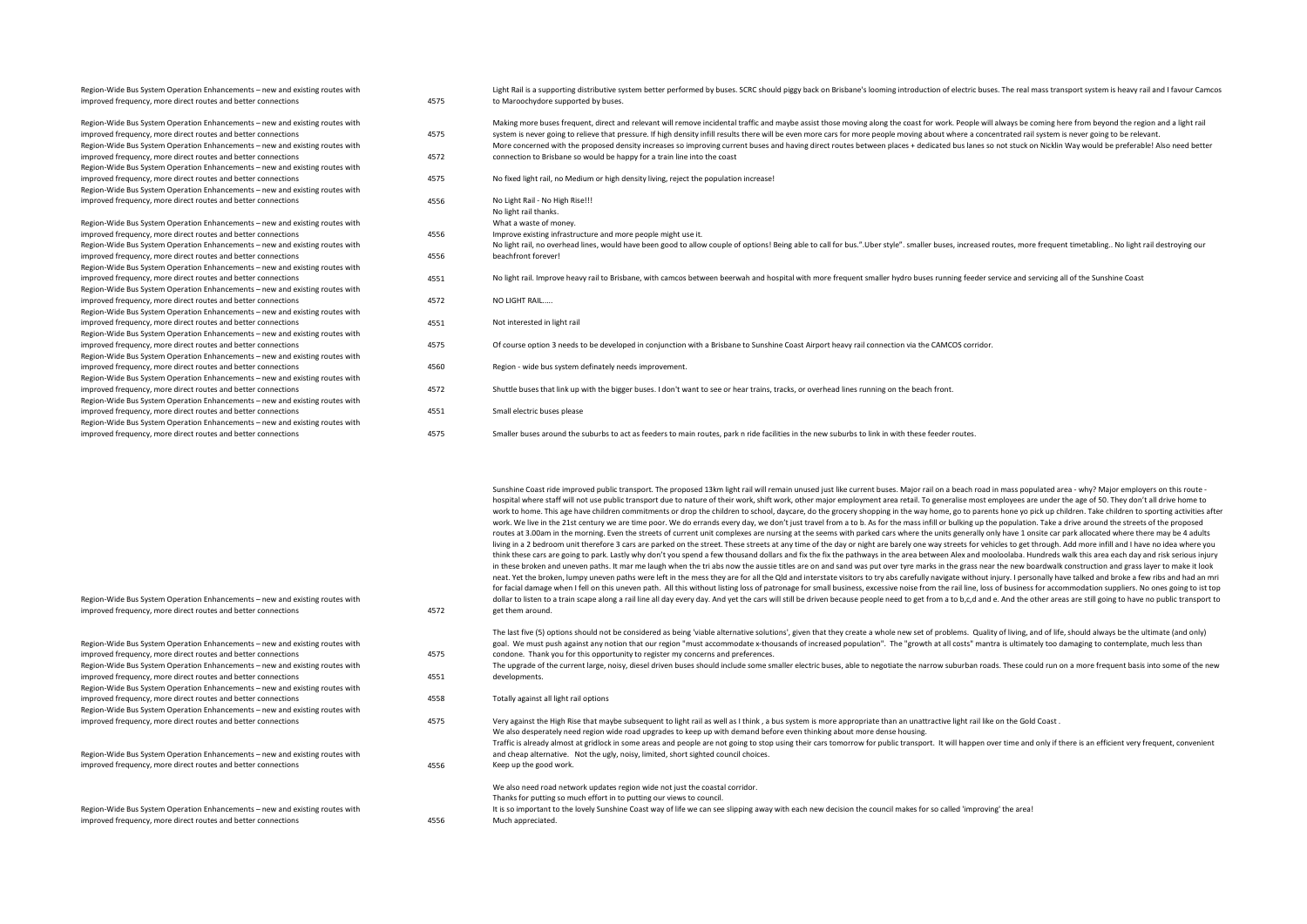| Region-Wide Bus System Operation Enhancements - new and existing routes with |      | Light Rail is a supporting distributive system better performed by buses. SCRC should piggy back on Brisbane's looming introduction of electric buses. The real mass transport system is heavy rail and I favour Camcos |
|------------------------------------------------------------------------------|------|-------------------------------------------------------------------------------------------------------------------------------------------------------------------------------------------------------------------------|
| improved frequency, more direct routes and better connections                | 4575 | to Maroochydore supported by buses.                                                                                                                                                                                     |
| Region-Wide Bus System Operation Enhancements - new and existing routes with |      | Making more buses frequent, direct and relevant will remove incidental traffic and maybe assist those moving along the coast for work. People will always be coming here from beyond the region and a light rail        |
| improved frequency, more direct routes and better connections                | 4575 | system is never going to relieve that pressure. If high density infill results there will be even more cars for more people moving about where a concentrated rail system is never going to be relevant.                |
| Region-Wide Bus System Operation Enhancements - new and existing routes with |      | More concerned with the proposed density increases so improving current buses and having direct routes between places + dedicated bus lanes so not stuck on Nicklin Way would be preferable! Also need better           |
| improved frequency, more direct routes and better connections                | 4572 | connection to Brisbane so would be happy for a train line into the coast                                                                                                                                                |
| Region-Wide Bus System Operation Enhancements - new and existing routes with |      |                                                                                                                                                                                                                         |
| improved frequency, more direct routes and better connections                | 4575 | No fixed light rail, no Medium or high density living, reject the population increase!                                                                                                                                  |
| Region-Wide Bus System Operation Enhancements - new and existing routes with |      |                                                                                                                                                                                                                         |
| improved frequency, more direct routes and better connections                | 4556 | No Light Rail - No High Rise!!!                                                                                                                                                                                         |
|                                                                              |      | No light rail thanks.                                                                                                                                                                                                   |
| Region-Wide Bus System Operation Enhancements - new and existing routes with |      | What a waste of money.                                                                                                                                                                                                  |
| improved frequency, more direct routes and better connections                | 4556 | Improve existing infrastructure and more people might use it.                                                                                                                                                           |
| Region-Wide Bus System Operation Enhancements - new and existing routes with |      | No light rail, no overhead lines, would have been good to allow couple of options! Being able to call for bus.".Uber style". smaller buses, increased routes, more frequent timetabling No light rail destroying our    |
| improved frequency, more direct routes and better connections                | 4556 | beachfront forever!                                                                                                                                                                                                     |
| Region-Wide Bus System Operation Enhancements - new and existing routes with |      |                                                                                                                                                                                                                         |
| improved frequency, more direct routes and better connections                | 4551 | No light rail. Improve heavy rail to Brisbane, with camcos between beerwah and hospital with more frequent smaller hydro buses running feeder service and servicing all of the Sunshine Coast                           |
| Region-Wide Bus System Operation Enhancements - new and existing routes with |      |                                                                                                                                                                                                                         |
| improved frequency, more direct routes and better connections                | 4572 | NO LIGHT RAIL                                                                                                                                                                                                           |
| Region-Wide Bus System Operation Enhancements - new and existing routes with |      |                                                                                                                                                                                                                         |
| improved frequency, more direct routes and better connections                | 4551 | Not interested in light rail                                                                                                                                                                                            |
| Region-Wide Bus System Operation Enhancements - new and existing routes with |      |                                                                                                                                                                                                                         |
| improved frequency, more direct routes and better connections                | 4575 | Of course option 3 needs to be developed in conjunction with a Brisbane to Sunshine Coast Airport heavy rail connection via the CAMCOS corridor.                                                                        |
| Region-Wide Bus System Operation Enhancements - new and existing routes with |      |                                                                                                                                                                                                                         |
| improved frequency, more direct routes and better connections                | 4560 | Region - wide bus system definately needs improvement.                                                                                                                                                                  |
| Region-Wide Bus System Operation Enhancements - new and existing routes with |      |                                                                                                                                                                                                                         |
| improved frequency, more direct routes and better connections                | 4572 | Shuttle buses that link up with the bigger buses. I don't want to see or hear trains, tracks, or overhead lines running on the beach front.                                                                             |
| Region-Wide Bus System Operation Enhancements - new and existing routes with |      |                                                                                                                                                                                                                         |
| improved frequency, more direct routes and better connections                | 4551 | Small electric buses please                                                                                                                                                                                             |
| Region-Wide Bus System Operation Enhancements - new and existing routes with |      |                                                                                                                                                                                                                         |
| improved frequency, more direct routes and better connections                | 4575 | Smaller buses around the suburbs to act as feeders to main routes, park n ride facilities in the new suburbs to link in with these feeder routes.                                                                       |

|                  | Sunshine Coast ride improved public transport. The proposed 13km light rail will remain unused just like current buses. Major rail on a beach road in mass populated area - why? Major employers on this route -               |
|------------------|--------------------------------------------------------------------------------------------------------------------------------------------------------------------------------------------------------------------------------|
|                  | hospital where staff will not use public transport due to nature of their work, shift work, other major employment area retail. To generalise most employees are under the age of 50. They don't all drive home to             |
|                  | work to home. This age have children commitments or drop the children to school, daycare, do the grocery shopping in the way home, go to parents hone yo pick up children. Take children to sporting activities after          |
|                  | work. We live in the 21st century we are time poor. We do errands every day, we don't just travel from a to b. As for the mass infill or bulking up the population. Take a drive around the streets of the proposed            |
|                  | routes at 3.00am in the morning. Even the streets of current unit complexes are nursing at the seems with parked cars where the units generally only have 1 onsite car park allocated where there may be 4 adults              |
|                  | living in a 2 bedroom unit therefore 3 cars are parked on the street. These streets at any time of the day or night are barely one way streets for vehicles to get through. Add more infill and I have no idea where you       |
|                  | think these cars are going to park. Lastly why don't you spend a few thousand dollars and fix the fix the pathways in the area between Alex and mooloolaba. Hundreds walk this area each day and risk serious injury           |
|                  | in these broken and uneven paths. It mar me laugh when the tri abs now the aussie titles are on and sand was put over tyre marks in the grass near the new boardwalk construction and grass layer to make it look              |
|                  | neat. Yet the broken, lumpy uneven paths were left in the mess they are for all the Qld and interstate visitors to try abs carefully navigate without injury. I personally have talked and broke a few ribs and had an mri     |
|                  | for facial damage when I fell on this uneven path. All this without listing loss of patronage for small business, excessive noise from the rail line, loss of business for accommodation suppliers. No ones going to ist top   |
|                  | dollar to listen to a train scape along a rail line all day every day. And yet the cars will still be driven because people need to get from a to b,c,d and e. And the other areas are still going to have no public transport |
| get them around. |                                                                                                                                                                                                                                |

improved frequency, more direct routes and better connections 4572 Region-Wide Bus System Operation Enhancements – new and existing routes with improved frequency, more direct routes and better connections 4575 goal. We must push against any notion that our region "must accommodate x-thousands of increased population". The "growth at all costs" mantra is ultimately too damaging to contemplate, much less than condone. Thank you for this opportunity to register my concerns and preferences. Region-Wide Bus System Operation Enhancements – new and existing routes with improved frequency, more direct routes and better connections 4551 The upgrade of the current large, noisy, diesel driven buses should include some smaller electric buses, able to negotiate the narrow suburban roads. These could run on a more frequent basis into some of the new developments. Region-Wide Bus System Operation Enhancements – new and existing routes with improved frequency, more direct routes and better connections 4558 Totally against all light rail options Region-Wide Bus System Operation Enhancements – new and existing routes with . Very against the High Rise that maybe subsequent to light rail as well as I think, a bus system is more appropriate than an unattractive light rail like on the Gold Coast Region-Wide Bus System Operation Enhancements – new and existing routes with improved frequency, more direct routes and better connections 4556 We also desperately need region wide road upgrades to keep up with demand before even thinking about more dense housing. Traffic is already almost at gridlock in some areas and people are not going to stop using their cars tomorrow for public transport. It will happen over time and only if there is an efficient very frequent, convenient and cheap alternative. Not the ugly, noisy, limited, short sighted council choices. Keep up the good work. Region-Wide Bus System Operation Enhancements – new and existing routes with improved frequency, more direct routes and better connections 4556 We also need road network updates region wide not just the coastal corridor. Thanks for putting so much effort in to putting our views to council. It is so important to the lovely Sunshine Coast way of life we can see slipping away with each new decision the council makes for so called 'improving' the area! Much appreciated.

Region-Wide Bus System Operation Enhancements – new and existing routes with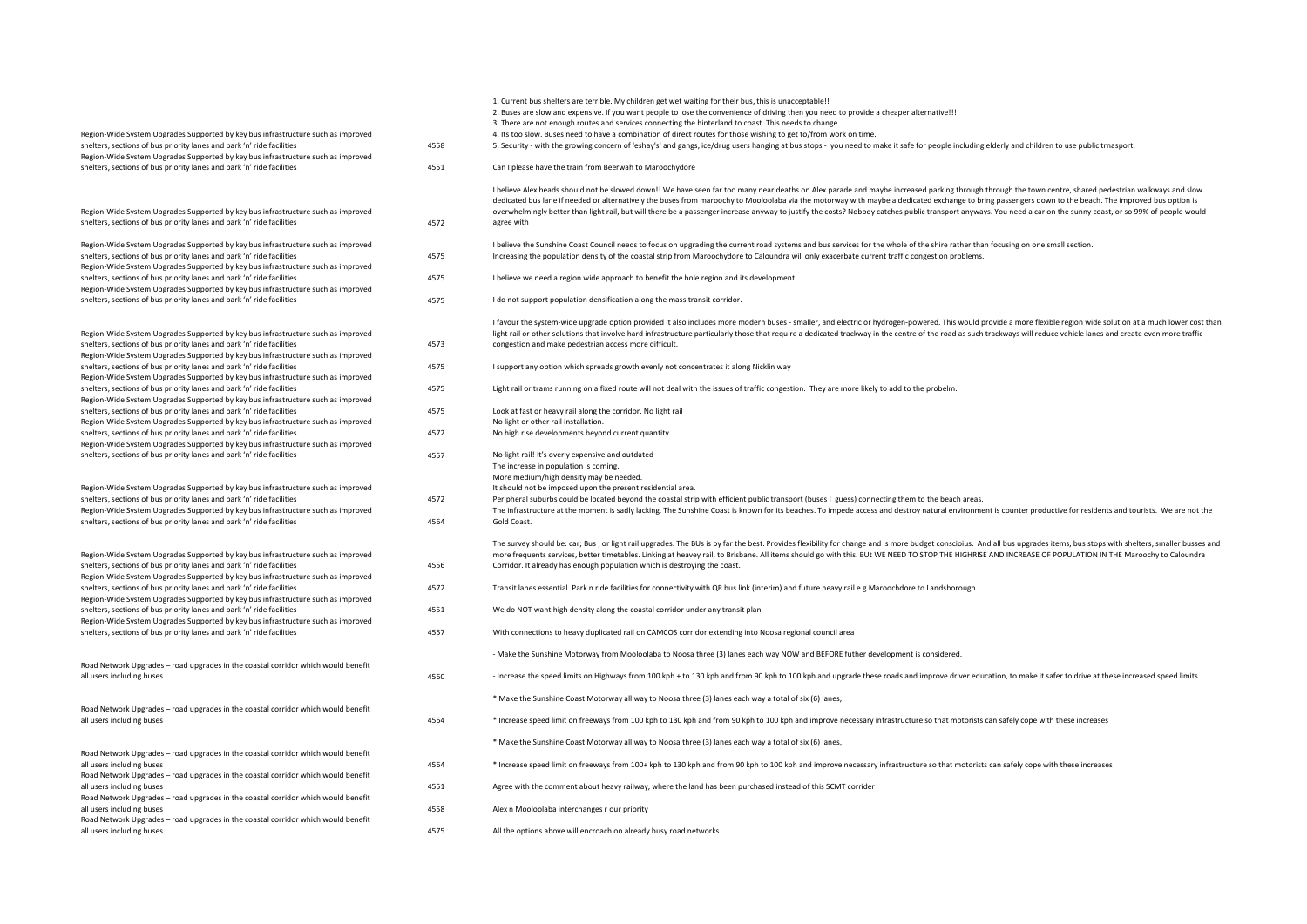| Region-Wide System Upgrades Supported by key bus infrastructure such as improved<br>shelters, sections of bus priority lanes and park 'n' ride facilities                                                                                     | 4558         | 1. Current bus shelters are terrible. My children get wet waiting for their bus, this is unacceptable!!<br>2. Buses are slow and expensive. If you want people to lose the convenience of driving then you need to provide a cheaper alternative!!!!<br>3. There are not enough routes and services connecting the hinterland to coast. This needs to change.<br>4. Its too slow. Buses need to have a combination of direct routes for those wishing to get to/from work on time.<br>5. Security - with the growing concern of 'eshay's' and gangs, ice/drug users hanging at bus stops - you need to make it safe for people including elderly and children to use public trnasport. |
|-----------------------------------------------------------------------------------------------------------------------------------------------------------------------------------------------------------------------------------------------|--------------|----------------------------------------------------------------------------------------------------------------------------------------------------------------------------------------------------------------------------------------------------------------------------------------------------------------------------------------------------------------------------------------------------------------------------------------------------------------------------------------------------------------------------------------------------------------------------------------------------------------------------------------------------------------------------------------|
| Region-Wide System Upgrades Supported by key bus infrastructure such as improved<br>shelters, sections of bus priority lanes and park 'n' ride facilities                                                                                     | 4551         | Can I please have the train from Beerwah to Maroochydore                                                                                                                                                                                                                                                                                                                                                                                                                                                                                                                                                                                                                               |
| Region-Wide System Upgrades Supported by key bus infrastructure such as improved<br>shelters, sections of bus priority lanes and park 'n' ride facilities                                                                                     | 4572         | I believe Alex heads should not be slowed down!! We have seen far too many near deaths on Alex parade and maybe increased parking through through the town centre, shared pedestrian walkways and slow<br>dedicated bus lane if needed or alternatively the buses from maroochy to Mooloolaba via the motorway with maybe a dedicated exchange to bring passengers down to the beach. The improved bus option is<br>overwhelmingly better than light rail, but will there be a passenger increase anyway to justify the costs? Nobody catches public transport anyways. You need a car on the sunny coast, or so 99% of people would<br>agree with                                     |
| Region-Wide System Upgrades Supported by key bus infrastructure such as improved<br>shelters, sections of bus priority lanes and park 'n' ride facilities<br>Region-Wide System Upgrades Supported by key bus infrastructure such as improved | 4575         | I believe the Sunshine Coast Council needs to focus on upgrading the current road systems and bus services for the whole of the shire rather than focusing on one small section.<br>Increasing the population density of the coastal strip from Maroochydore to Caloundra will only exacerbate current traffic congestion problems.                                                                                                                                                                                                                                                                                                                                                    |
| shelters, sections of bus priority lanes and park 'n' ride facilities<br>Region-Wide System Upgrades Supported by key bus infrastructure such as improved                                                                                     | 4575         | I believe we need a region wide approach to benefit the hole region and its development.                                                                                                                                                                                                                                                                                                                                                                                                                                                                                                                                                                                               |
| shelters, sections of bus priority lanes and park 'n' ride facilities                                                                                                                                                                         | 4575         | I do not support population densification along the mass transit corridor.                                                                                                                                                                                                                                                                                                                                                                                                                                                                                                                                                                                                             |
| Region-Wide System Upgrades Supported by key bus infrastructure such as improved<br>shelters, sections of bus priority lanes and park 'n' ride facilities<br>Region-Wide System Upgrades Supported by key bus infrastructure such as improved | 4573         | I favour the system-wide upgrade option provided it also includes more modern buses - smaller, and electric or hydrogen-powered. This would provide a more flexible region wide solution at a much lower cost than<br>light rail or other solutions that involve hard infrastructure particularly those that require a dedicated trackway in the centre of the road as such trackways will reduce vehicle lanes and create even more traffic<br>congestion and make pedestrian access more difficult.                                                                                                                                                                                  |
| shelters, sections of bus priority lanes and park 'n' ride facilities<br>Region-Wide System Upgrades Supported by key bus infrastructure such as improved                                                                                     | 4575         | I support any option which spreads growth evenly not concentrates it along Nicklin way                                                                                                                                                                                                                                                                                                                                                                                                                                                                                                                                                                                                 |
| shelters, sections of bus priority lanes and park 'n' ride facilities<br>Region-Wide System Upgrades Supported by key bus infrastructure such as improved                                                                                     | 4575         | Light rail or trams running on a fixed route will not deal with the issues of traffic congestion. They are more likely to add to the probelm.                                                                                                                                                                                                                                                                                                                                                                                                                                                                                                                                          |
| shelters, sections of bus priority lanes and park 'n' ride facilities<br>Region-Wide System Upgrades Supported by key bus infrastructure such as improved                                                                                     | 4575         | Look at fast or heavy rail along the corridor. No light rail<br>No light or other rail installation.                                                                                                                                                                                                                                                                                                                                                                                                                                                                                                                                                                                   |
| shelters, sections of bus priority lanes and park 'n' ride facilities<br>Region-Wide System Upgrades Supported by key bus infrastructure such as improved                                                                                     | 4572         | No high rise developments beyond current quantity                                                                                                                                                                                                                                                                                                                                                                                                                                                                                                                                                                                                                                      |
| shelters, sections of bus priority lanes and park 'n' ride facilities                                                                                                                                                                         | 4557         | No light rail! It's overly expensive and outdated<br>The increase in population is coming.                                                                                                                                                                                                                                                                                                                                                                                                                                                                                                                                                                                             |
| Region-Wide System Upgrades Supported by key bus infrastructure such as improved                                                                                                                                                              |              | More medium/high density may be needed.<br>It should not be imposed upon the present residential area.                                                                                                                                                                                                                                                                                                                                                                                                                                                                                                                                                                                 |
| shelters, sections of bus priority lanes and park 'n' ride facilities<br>Region-Wide System Upgrades Supported by key bus infrastructure such as improved<br>shelters, sections of bus priority lanes and park 'n' ride facilities            | 4572<br>4564 | Peripheral suburbs could be located beyond the coastal strip with efficient public transport (buses I guess) connecting them to the beach areas.<br>The infrastructure at the moment is sadly lacking. The Sunshine Coast is known for its beaches. To impede access and destroy natural environment is counter productive for residents and tourists. We are not the<br>Gold Coast.                                                                                                                                                                                                                                                                                                   |
| Region-Wide System Upgrades Supported by key bus infrastructure such as improved<br>shelters, sections of bus priority lanes and park 'n' ride facilities<br>Region-Wide System Upgrades Supported by key bus infrastructure such as improved | 4556         | The survey should be: car; Bus; or light rail upgrades. The BUs is by far the best. Provides flexibility for change and is more budget conscioius. And all bus upgrades items, bus stops with shelters, smaller busses and<br>more frequents services, better timetables. Linking at heavey rail, to Brisbane. All items should go with this. BUt WE NEED TO STOP THE HIGHRISE AND INCREASE OF POPULATION IN THE Maroochy to Caloundra<br>Corridor. It already has enough population which is destroying the coast.                                                                                                                                                                    |
| shelters, sections of bus priority lanes and park 'n' ride facilities<br>Region-Wide System Upgrades Supported by key bus infrastructure such as improved                                                                                     | 4572         | Transit lanes essential. Park n ride facilities for connectivity with QR bus link (interim) and future heavy rail e.g Maroochdore to Landsborough.                                                                                                                                                                                                                                                                                                                                                                                                                                                                                                                                     |
| shelters, sections of bus priority lanes and park 'n' ride facilities<br>Region-Wide System Upgrades Supported by key bus infrastructure such as improved                                                                                     | 4551         | We do NOT want high density along the coastal corridor under any transit plan                                                                                                                                                                                                                                                                                                                                                                                                                                                                                                                                                                                                          |
| shelters, sections of bus priority lanes and park 'n' ride facilities                                                                                                                                                                         | 4557         | With connections to heavy duplicated rail on CAMCOS corridor extending into Noosa regional council area                                                                                                                                                                                                                                                                                                                                                                                                                                                                                                                                                                                |
| Road Network Upgrades - road upgrades in the coastal corridor which would benefit                                                                                                                                                             |              | - Make the Sunshine Motorway from Mooloolaba to Noosa three (3) lanes each way NOW and BEFORE futher development is considered.                                                                                                                                                                                                                                                                                                                                                                                                                                                                                                                                                        |
| all users including buses                                                                                                                                                                                                                     | 4560         | - Increase the speed limits on Highways from 100 kph + to 130 kph and from 90 kph to 100 kph and upgrade these roads and improve driver education, to make it safer to drive at these increased speed limits.                                                                                                                                                                                                                                                                                                                                                                                                                                                                          |
| Road Network Upgrades - road upgrades in the coastal corridor which would benefit                                                                                                                                                             |              | * Make the Sunshine Coast Motorway all way to Noosa three (3) lanes each way a total of six (6) lanes,                                                                                                                                                                                                                                                                                                                                                                                                                                                                                                                                                                                 |
| all users including buses                                                                                                                                                                                                                     | 4564         | * Increase speed limit on freeways from 100 kph to 130 kph and from 90 kph to 100 kph and improve necessary infrastructure so that motorists can safely cope with these increases                                                                                                                                                                                                                                                                                                                                                                                                                                                                                                      |
| Road Network Upgrades - road upgrades in the coastal corridor which would benefit                                                                                                                                                             |              | * Make the Sunshine Coast Motorway all way to Noosa three (3) lanes each way a total of six (6) lanes,                                                                                                                                                                                                                                                                                                                                                                                                                                                                                                                                                                                 |
| all users including buses<br>Road Network Upgrades - road upgrades in the coastal corridor which would benefit                                                                                                                                | 4564         | * Increase speed limit on freeways from 100+ kph to 130 kph and from 90 kph to 100 kph and improve necessary infrastructure so that motorists can safely cope with these increases                                                                                                                                                                                                                                                                                                                                                                                                                                                                                                     |
| all users including buses<br>Road Network Upgrades - road upgrades in the coastal corridor which would benefit                                                                                                                                | 4551         | Agree with the comment about heavy railway, where the land has been purchased instead of this SCMT corrider                                                                                                                                                                                                                                                                                                                                                                                                                                                                                                                                                                            |
| all users including buses<br>Road Network Upgrades - road upgrades in the coastal corridor which would benefit                                                                                                                                | 4558         | Alex n Mooloolaba interchanges r our priority                                                                                                                                                                                                                                                                                                                                                                                                                                                                                                                                                                                                                                          |
| all users including buses                                                                                                                                                                                                                     | 4575         | All the options above will encroach on already busy road networks                                                                                                                                                                                                                                                                                                                                                                                                                                                                                                                                                                                                                      |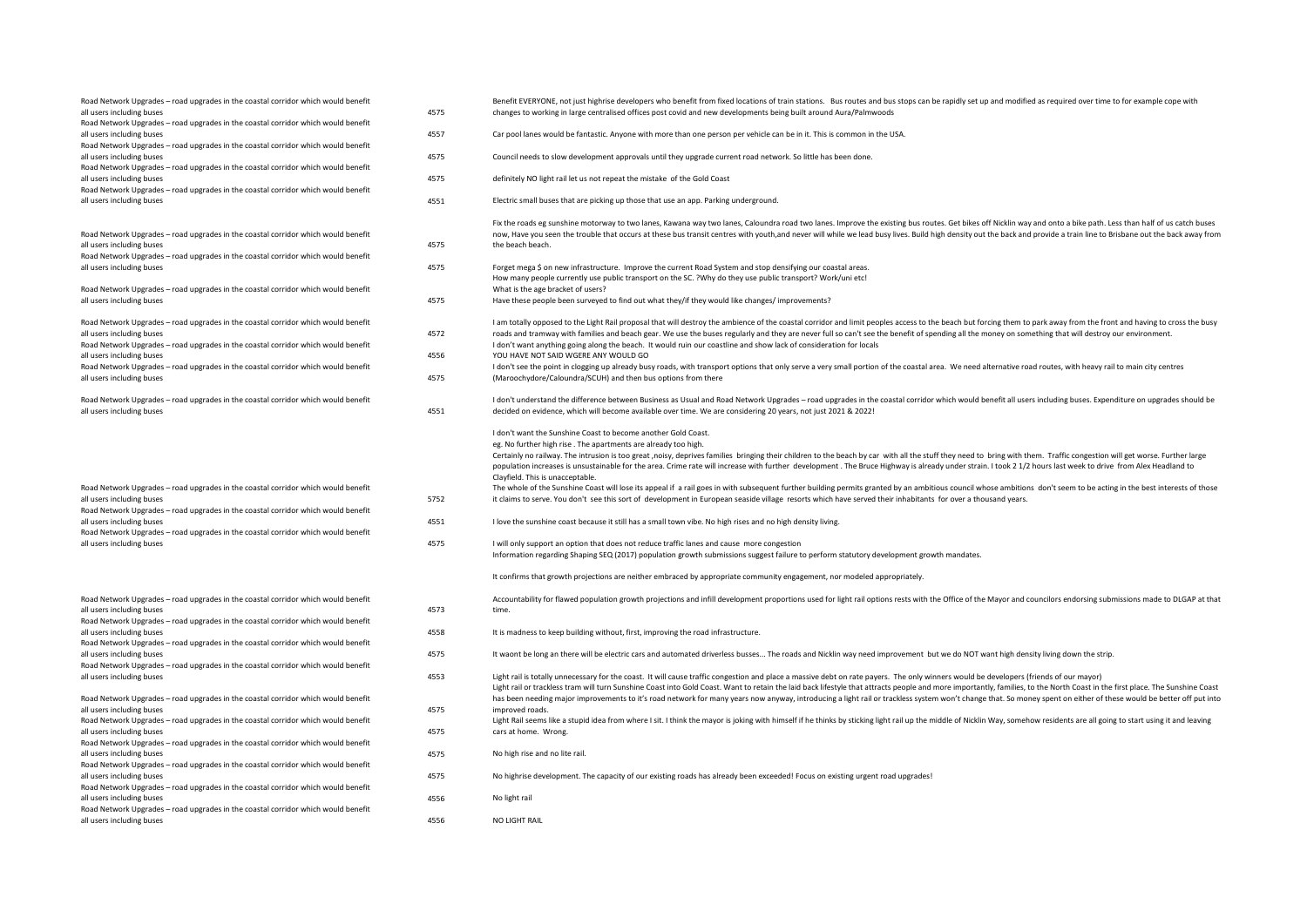| Road Network Upgrades - road upgrades in the coastal corridor which would benefit<br>all users including buses<br>Road Network Upgrades - road upgrades in the coastal corridor which would benefit                                                                                                                                                | 4575                 | Benefit EVERYONE, not just highrise developers who benefit from fixed locations of train stations. Bus routes and bus stops can be rapidly set up and modified as required over time to for example cope with<br>changes to working in large centralised offices post covid and new developments being built around Aura/Palmwoods                                                                                                                                                                                                                                                                                                                                                                                                                                                                                                                                                                                                                                                                                                                                                                                                                                                                                                                                                                                                                                                                                                                                                               |
|----------------------------------------------------------------------------------------------------------------------------------------------------------------------------------------------------------------------------------------------------------------------------------------------------------------------------------------------------|----------------------|--------------------------------------------------------------------------------------------------------------------------------------------------------------------------------------------------------------------------------------------------------------------------------------------------------------------------------------------------------------------------------------------------------------------------------------------------------------------------------------------------------------------------------------------------------------------------------------------------------------------------------------------------------------------------------------------------------------------------------------------------------------------------------------------------------------------------------------------------------------------------------------------------------------------------------------------------------------------------------------------------------------------------------------------------------------------------------------------------------------------------------------------------------------------------------------------------------------------------------------------------------------------------------------------------------------------------------------------------------------------------------------------------------------------------------------------------------------------------------------------------|
| all users including buses<br>Road Network Upgrades - road upgrades in the coastal corridor which would benefit                                                                                                                                                                                                                                     | 4557                 | Car pool lanes would be fantastic. Anyone with more than one person per vehicle can be in it. This is common in the USA.                                                                                                                                                                                                                                                                                                                                                                                                                                                                                                                                                                                                                                                                                                                                                                                                                                                                                                                                                                                                                                                                                                                                                                                                                                                                                                                                                                         |
| all users including buses<br>Road Network Upgrades - road upgrades in the coastal corridor which would benefit                                                                                                                                                                                                                                     | 4575                 | Council needs to slow development approvals until they upgrade current road network. So little has been done.                                                                                                                                                                                                                                                                                                                                                                                                                                                                                                                                                                                                                                                                                                                                                                                                                                                                                                                                                                                                                                                                                                                                                                                                                                                                                                                                                                                    |
| all users including buses<br>Road Network Upgrades - road upgrades in the coastal corridor which would benefit                                                                                                                                                                                                                                     | 4575                 | definitely NO light rail let us not repeat the mistake of the Gold Coast                                                                                                                                                                                                                                                                                                                                                                                                                                                                                                                                                                                                                                                                                                                                                                                                                                                                                                                                                                                                                                                                                                                                                                                                                                                                                                                                                                                                                         |
| all users including buses                                                                                                                                                                                                                                                                                                                          | 4551                 | Electric small buses that are picking up those that use an app. Parking underground.                                                                                                                                                                                                                                                                                                                                                                                                                                                                                                                                                                                                                                                                                                                                                                                                                                                                                                                                                                                                                                                                                                                                                                                                                                                                                                                                                                                                             |
| Road Network Upgrades - road upgrades in the coastal corridor which would benefit<br>all users including buses<br>Road Network Upgrades - road upgrades in the coastal corridor which would benefit                                                                                                                                                | 4575                 | Fix the roads eg sunshine motorway to two lanes, Kawana way two lanes, Caloundra road two lanes. Improve the existing bus routes. Get bikes off Nicklin way and onto a bike path. Less than half of us catch buses<br>now, Have you seen the trouble that occurs at these bus transit centres with youth,and never will while we lead busy lives. Build high density out the back and provide a train line to Brisbane out the back away from<br>the beach beach.                                                                                                                                                                                                                                                                                                                                                                                                                                                                                                                                                                                                                                                                                                                                                                                                                                                                                                                                                                                                                                |
| all users including buses<br>Road Network Upgrades - road upgrades in the coastal corridor which would benefit                                                                                                                                                                                                                                     | 4575                 | Forget mega \$ on new infrastructure. Improve the current Road System and stop densifying our coastal areas.<br>How many people currently use public transport on the SC. ?Why do they use public transport? Work/uni etc!<br>What is the age bracket of users?                                                                                                                                                                                                                                                                                                                                                                                                                                                                                                                                                                                                                                                                                                                                                                                                                                                                                                                                                                                                                                                                                                                                                                                                                                  |
| all users including buses                                                                                                                                                                                                                                                                                                                          | 4575                 | Have these people been surveyed to find out what they/if they would like changes/improvements?                                                                                                                                                                                                                                                                                                                                                                                                                                                                                                                                                                                                                                                                                                                                                                                                                                                                                                                                                                                                                                                                                                                                                                                                                                                                                                                                                                                                   |
| Road Network Upgrades - road upgrades in the coastal corridor which would benefit<br>all users including buses<br>Road Network Upgrades - road upgrades in the coastal corridor which would benefit                                                                                                                                                | 4572                 | I am totally opposed to the Light Rail proposal that will destroy the ambience of the coastal corridor and limit peoples access to the beach but forcing them to park away from the front and having to cross the busy<br>roads and tramway with families and beach gear. We use the buses regularly and they are never full so can't see the benefit of spending all the money on something that will destroy our environment.<br>I don't want anything going along the beach. It would ruin our coastline and show lack of consideration for locals                                                                                                                                                                                                                                                                                                                                                                                                                                                                                                                                                                                                                                                                                                                                                                                                                                                                                                                                            |
| all users including buses<br>Road Network Upgrades - road upgrades in the coastal corridor which would benefit<br>all users including buses                                                                                                                                                                                                        | 4556<br>4575         | YOU HAVE NOT SAID WGERE ANY WOULD GO<br>I don't see the point in clogging up already busy roads, with transport options that only serve a very small portion of the coastal area. We need alternative road routes, with heavy rail to main city centres<br>(Maroochydore/Caloundra/SCUH) and then bus options from there                                                                                                                                                                                                                                                                                                                                                                                                                                                                                                                                                                                                                                                                                                                                                                                                                                                                                                                                                                                                                                                                                                                                                                         |
| Road Network Upgrades - road upgrades in the coastal corridor which would benefit<br>all users including buses                                                                                                                                                                                                                                     | 4551                 | I don't understand the difference between Business as Usual and Road Network Upgrades - road upgrades in the coastal corridor which would benefit all users including buses. Expenditure on upgrades should be<br>decided on evidence, which will become available over time. We are considering 20 years, not just 2021 & 2022!                                                                                                                                                                                                                                                                                                                                                                                                                                                                                                                                                                                                                                                                                                                                                                                                                                                                                                                                                                                                                                                                                                                                                                 |
| Road Network Upgrades - road upgrades in the coastal corridor which would benefit<br>all users including buses<br>Road Network Upgrades - road upgrades in the coastal corridor which would benefit<br>all users including buses<br>Road Network Upgrades - road upgrades in the coastal corridor which would benefit<br>all users including buses | 5752<br>4551<br>4575 | I don't want the Sunshine Coast to become another Gold Coast.<br>eg. No further high rise. The apartments are already too high.<br>Certainly no railway. The intrusion is too great ,noisy, deprives families bringing their children to the beach by car with all the stuff they need to bring with them. Traffic congestion will get worse. Further large<br>population increases is unsustainable for the area. Crime rate will increase with further development. The Bruce Highway is already under strain. I took 2 1/2 hours last week to drive from Alex Headland to<br>Clayfield. This is unacceptable.<br>The whole of the Sunshine Coast will lose its appeal if a rail goes in with subsequent further building permits granted by an ambitious council whose ambitions don't seem to be acting in the best interests of those<br>it claims to serve. You don't see this sort of development in European seaside village resorts which have served their inhabitants for over a thousand years.<br>I love the sunshine coast because it still has a small town vibe. No high rises and no high density living.<br>I will only support an option that does not reduce traffic lanes and cause more congestion<br>Information regarding Shaping SEQ (2017) population growth submissions suggest failure to perform statutory development growth mandates.<br>It confirms that growth projections are neither embraced by appropriate community engagement, nor modeled appropriately. |
| Road Network Upgrades - road upgrades in the coastal corridor which would benefit<br>all users including buses<br>Road Network Upgrades - road upgrades in the coastal corridor which would benefit                                                                                                                                                | 4573                 | Accountability for flawed population growth projections and infill development proportions used for light rail options rests with the Office of the Mayor and councilors endorsing submissions made to DLGAP at that<br>time.                                                                                                                                                                                                                                                                                                                                                                                                                                                                                                                                                                                                                                                                                                                                                                                                                                                                                                                                                                                                                                                                                                                                                                                                                                                                    |
| all users including buses<br>Road Network Upgrades - road upgrades in the coastal corridor which would benefit<br>all users including buses                                                                                                                                                                                                        | 4558<br>4575         | It is madness to keep building without, first, improving the road infrastructure.<br>It waont be long an there will be electric cars and automated driverless busses The roads and Nicklin way need improvement but we do NOT want high density living down the strip.                                                                                                                                                                                                                                                                                                                                                                                                                                                                                                                                                                                                                                                                                                                                                                                                                                                                                                                                                                                                                                                                                                                                                                                                                           |
| Road Network Upgrades - road upgrades in the coastal corridor which would benefit<br>all users including buses                                                                                                                                                                                                                                     | 4553                 | Light rail is totally unnecessary for the coast. It will cause traffic congestion and place a massive debt on rate payers. The only winners would be developers (friends of our mayor)<br>Light rail or trackless tram will turn Sunshine Coast into Gold Coast. Want to retain the laid back lifestyle that attracts people and more importantly, families, to the North Coast in the first place. The Sunshine Coast                                                                                                                                                                                                                                                                                                                                                                                                                                                                                                                                                                                                                                                                                                                                                                                                                                                                                                                                                                                                                                                                           |
| Road Network Upgrades - road upgrades in the coastal corridor which would benefit<br>all users including buses                                                                                                                                                                                                                                     | 4575                 | has been needing major improvements to it's road network for many years now anyway, introducing a light rail or trackless system won't change that. So money spent on either of these would be better off put into<br>improved roads.                                                                                                                                                                                                                                                                                                                                                                                                                                                                                                                                                                                                                                                                                                                                                                                                                                                                                                                                                                                                                                                                                                                                                                                                                                                            |
| Road Network Upgrades - road upgrades in the coastal corridor which would benefit<br>all users including buses<br>Road Network Upgrades - road upgrades in the coastal corridor which would benefit                                                                                                                                                | 4575                 | Light Rail seems like a stupid idea from where I sit. I think the mayor is joking with himself if he thinks by sticking light rail up the middle of Nicklin Way, somehow residents are all going to start using it and leaving<br>cars at home. Wrong.                                                                                                                                                                                                                                                                                                                                                                                                                                                                                                                                                                                                                                                                                                                                                                                                                                                                                                                                                                                                                                                                                                                                                                                                                                           |
| all users including buses<br>Road Network Upgrades - road upgrades in the coastal corridor which would benefit                                                                                                                                                                                                                                     | 4575                 | No high rise and no lite rail.                                                                                                                                                                                                                                                                                                                                                                                                                                                                                                                                                                                                                                                                                                                                                                                                                                                                                                                                                                                                                                                                                                                                                                                                                                                                                                                                                                                                                                                                   |
| all users including buses<br>Road Network Upgrades - road upgrades in the coastal corridor which would benefit                                                                                                                                                                                                                                     | 4575                 | No highrise development. The capacity of our existing roads has already been exceeded! Focus on existing urgent road upgrades!                                                                                                                                                                                                                                                                                                                                                                                                                                                                                                                                                                                                                                                                                                                                                                                                                                                                                                                                                                                                                                                                                                                                                                                                                                                                                                                                                                   |
| all users including buses<br>Road Network Upgrades - road upgrades in the coastal corridor which would benefit                                                                                                                                                                                                                                     | 4556                 | No light rail                                                                                                                                                                                                                                                                                                                                                                                                                                                                                                                                                                                                                                                                                                                                                                                                                                                                                                                                                                                                                                                                                                                                                                                                                                                                                                                                                                                                                                                                                    |
| all users including buses                                                                                                                                                                                                                                                                                                                          | 4556                 | NO LIGHT RAIL                                                                                                                                                                                                                                                                                                                                                                                                                                                                                                                                                                                                                                                                                                                                                                                                                                                                                                                                                                                                                                                                                                                                                                                                                                                                                                                                                                                                                                                                                    |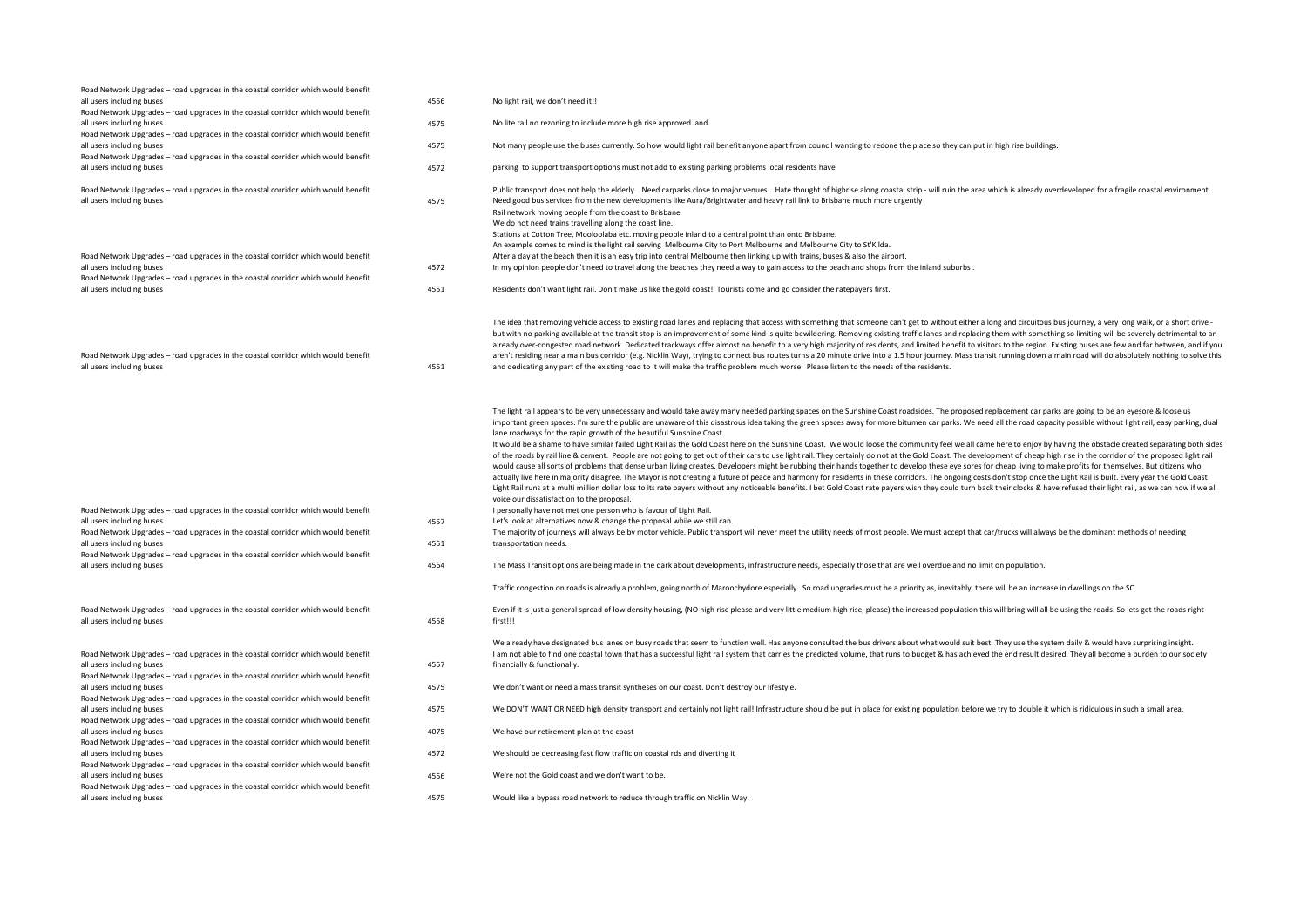| Road Network Upgrades - road upgrades in the coastal corridor which would benefit<br>all users including buses<br>Road Network Upgrades - road upgrades in the coastal corridor which would benefit                                                                                                                                                | 4556                 | No light rail, we don't need it!!                                                                                                                                                                                                                                                                                                                                                                                                                                                                                                                                                                                                                                                                                                                                                                                                                                                                                                                                                                                                                                                                                                                                                                                                                                                                                                                                                                                                                                                                                                                                                                                                                                                                                                                                                                                                                                                                                                                                                                                                                                                                                                                                                                                                                         |
|----------------------------------------------------------------------------------------------------------------------------------------------------------------------------------------------------------------------------------------------------------------------------------------------------------------------------------------------------|----------------------|-----------------------------------------------------------------------------------------------------------------------------------------------------------------------------------------------------------------------------------------------------------------------------------------------------------------------------------------------------------------------------------------------------------------------------------------------------------------------------------------------------------------------------------------------------------------------------------------------------------------------------------------------------------------------------------------------------------------------------------------------------------------------------------------------------------------------------------------------------------------------------------------------------------------------------------------------------------------------------------------------------------------------------------------------------------------------------------------------------------------------------------------------------------------------------------------------------------------------------------------------------------------------------------------------------------------------------------------------------------------------------------------------------------------------------------------------------------------------------------------------------------------------------------------------------------------------------------------------------------------------------------------------------------------------------------------------------------------------------------------------------------------------------------------------------------------------------------------------------------------------------------------------------------------------------------------------------------------------------------------------------------------------------------------------------------------------------------------------------------------------------------------------------------------------------------------------------------------------------------------------------------|
| all users including buses                                                                                                                                                                                                                                                                                                                          | 4575                 | No lite rail no rezoning to include more high rise approved land.                                                                                                                                                                                                                                                                                                                                                                                                                                                                                                                                                                                                                                                                                                                                                                                                                                                                                                                                                                                                                                                                                                                                                                                                                                                                                                                                                                                                                                                                                                                                                                                                                                                                                                                                                                                                                                                                                                                                                                                                                                                                                                                                                                                         |
| Road Network Upgrades - road upgrades in the coastal corridor which would benefit<br>all users including buses                                                                                                                                                                                                                                     | 4575                 | Not many people use the buses currently. So how would light rail benefit anyone apart from council wanting to redone the place so they can put in high rise buildings.                                                                                                                                                                                                                                                                                                                                                                                                                                                                                                                                                                                                                                                                                                                                                                                                                                                                                                                                                                                                                                                                                                                                                                                                                                                                                                                                                                                                                                                                                                                                                                                                                                                                                                                                                                                                                                                                                                                                                                                                                                                                                    |
| Road Network Upgrades - road upgrades in the coastal corridor which would benefit<br>all users including buses                                                                                                                                                                                                                                     | 4572                 | parking to support transport options must not add to existing parking problems local residents have                                                                                                                                                                                                                                                                                                                                                                                                                                                                                                                                                                                                                                                                                                                                                                                                                                                                                                                                                                                                                                                                                                                                                                                                                                                                                                                                                                                                                                                                                                                                                                                                                                                                                                                                                                                                                                                                                                                                                                                                                                                                                                                                                       |
| Road Network Upgrades - road upgrades in the coastal corridor which would benefit<br>all users including buses                                                                                                                                                                                                                                     | 4575                 | Public transport does not help the elderly. Need carparks close to major venues. Hate thought of highrise along coastal strip - will ruin the area which is already overdeveloped for a fragile coastal environment.<br>Need good bus services from the new developments like Aura/Brightwater and heavy rail link to Brisbane much more urgently<br>Rail network moving people from the coast to Brisbane<br>We do not need trains travelling along the coast line.                                                                                                                                                                                                                                                                                                                                                                                                                                                                                                                                                                                                                                                                                                                                                                                                                                                                                                                                                                                                                                                                                                                                                                                                                                                                                                                                                                                                                                                                                                                                                                                                                                                                                                                                                                                      |
| Road Network Upgrades - road upgrades in the coastal corridor which would benefit<br>all users including buses<br>Road Network Upgrades - road upgrades in the coastal corridor which would benefit<br>all users including buses                                                                                                                   | 4572<br>4551         | Stations at Cotton Tree, Mooloolaba etc. moving people inland to a central point than onto Brisbane.<br>An example comes to mind is the light rail serving Melbourne City to Port Melbourne and Melbourne City to St'Kilda.<br>After a day at the beach then it is an easy trip into central Melbourne then linking up with trains, buses & also the airport.<br>In my opinion people don't need to travel along the beaches they need a way to gain access to the beach and shops from the inland suburbs.<br>Residents don't want light rail. Don't make us like the gold coast! Tourists come and go consider the ratepayers first.                                                                                                                                                                                                                                                                                                                                                                                                                                                                                                                                                                                                                                                                                                                                                                                                                                                                                                                                                                                                                                                                                                                                                                                                                                                                                                                                                                                                                                                                                                                                                                                                                    |
| Road Network Upgrades - road upgrades in the coastal corridor which would benefit<br>all users including buses                                                                                                                                                                                                                                     | 4551                 | The idea that removing vehicle access to existing road lanes and replacing that access with something that someone can't get to without either a long and circuitous bus journey, a very long walk, or a short drive -<br>but with no parking available at the transit stop is an improvement of some kind is quite bewildering. Removing existing traffic lanes and replacing them with something so limiting will be severely detrimental to an<br>already over-congested road network. Dedicated trackways offer almost no benefit to a very high majority of residents, and limited benefit to visitors to the region. Existing buses are few and far between, and if you<br>aren't residing near a main bus corridor (e.g. Nicklin Way), trying to connect bus routes turns a 20 minute drive into a 1.5 hour journey. Mass transit running down a main road will do absolutely nothing to solve this<br>and dedicating any part of the existing road to it will make the traffic problem much worse. Please listen to the needs of the residents.                                                                                                                                                                                                                                                                                                                                                                                                                                                                                                                                                                                                                                                                                                                                                                                                                                                                                                                                                                                                                                                                                                                                                                                                   |
| Road Network Upgrades - road upgrades in the coastal corridor which would benefit<br>all users including buses<br>Road Network Upgrades - road upgrades in the coastal corridor which would benefit<br>all users including buses<br>Road Network Upgrades - road upgrades in the coastal corridor which would benefit<br>all users including buses | 4557<br>4551<br>4564 | The light rail appears to be very unnecessary and would take away many needed parking spaces on the Sunshine Coast roadsides. The proposed replacement car parks are going to be an eyesore & loose us<br>important green spaces. I'm sure the public are unaware of this disastrous idea taking the green spaces away for more bitumen car parks. We need all the road capacity possible without light rail, easy parking, dual<br>lane roadways for the rapid growth of the beautiful Sunshine Coast.<br>It would be a shame to have similar failed Light Rail as the Gold Coast here on the Sunshine Coast. We would loose the community feel we all came here to enjoy by having the obstacle created separating both sides<br>of the roads by rail line & cement. People are not going to get out of their cars to use light rail. They certainly do not at the Gold Coast. The development of cheap high rise in the corridor of the proposed light rail<br>would cause all sorts of problems that dense urban living creates. Developers might be rubbing their hands together to develop these eye sores for cheap living to make profits for themselves. But citizens who<br>actually live here in majority disagree. The Mayor is not creating a future of peace and harmony for residents in these corridors. The ongoing costs don't stop once the Light Rail is built. Every year the Gold Coast<br>Light Rail runs at a multi million dollar loss to its rate payers without any noticeable benefits. I bet Gold Coast rate payers wish they could turn back their clocks & have refused their light rail, as we can now if we al<br>voice our dissatisfaction to the proposal.<br>I personally have not met one person who is favour of Light Rail.<br>Let's look at alternatives now & change the proposal while we still can.<br>The majority of journeys will always be by motor vehicle. Public transport will never meet the utility needs of most people. We must accept that car/trucks will always be the dominant methods of needing<br>transportation needs.<br>The Mass Transit options are being made in the dark about developments, infrastructure needs, especially those that are well overdue and no limit on population. |
|                                                                                                                                                                                                                                                                                                                                                    |                      | Traffic congestion on roads is already a problem, going north of Maroochydore especially. So road upgrades must be a priority as, inevitably, there will be an increase in dwellings on the SC.                                                                                                                                                                                                                                                                                                                                                                                                                                                                                                                                                                                                                                                                                                                                                                                                                                                                                                                                                                                                                                                                                                                                                                                                                                                                                                                                                                                                                                                                                                                                                                                                                                                                                                                                                                                                                                                                                                                                                                                                                                                           |
| Road Network Upgrades - road upgrades in the coastal corridor which would benefit<br>all users including buses                                                                                                                                                                                                                                     | 4558                 | Even if it is just a general spread of low density housing, (NO high rise please and very little medium high rise, please) the increased population this will bring will all be using the roads. So lets get the roads right<br>first!!!                                                                                                                                                                                                                                                                                                                                                                                                                                                                                                                                                                                                                                                                                                                                                                                                                                                                                                                                                                                                                                                                                                                                                                                                                                                                                                                                                                                                                                                                                                                                                                                                                                                                                                                                                                                                                                                                                                                                                                                                                  |
| Road Network Upgrades - road upgrades in the coastal corridor which would benefit<br>all users including buses<br>Road Network Upgrades - road upgrades in the coastal corridor which would benefit                                                                                                                                                | 4557                 | We already have designated bus lanes on busy roads that seem to function well. Has anyone consulted the bus drivers about what would suit best. They use the system daily & would have surprising insight.<br>I am not able to find one coastal town that has a successful light rail system that carries the predicted volume, that runs to budget & has achieved the end result desired. They all become a burden to our society<br>financially & functionally.                                                                                                                                                                                                                                                                                                                                                                                                                                                                                                                                                                                                                                                                                                                                                                                                                                                                                                                                                                                                                                                                                                                                                                                                                                                                                                                                                                                                                                                                                                                                                                                                                                                                                                                                                                                         |
| all users including buses<br>Road Network Upgrades - road upgrades in the coastal corridor which would benefit                                                                                                                                                                                                                                     | 4575                 | We don't want or need a mass transit syntheses on our coast. Don't destroy our lifestyle.                                                                                                                                                                                                                                                                                                                                                                                                                                                                                                                                                                                                                                                                                                                                                                                                                                                                                                                                                                                                                                                                                                                                                                                                                                                                                                                                                                                                                                                                                                                                                                                                                                                                                                                                                                                                                                                                                                                                                                                                                                                                                                                                                                 |
| all users including buses<br>Road Network Upgrades - road upgrades in the coastal corridor which would benefit                                                                                                                                                                                                                                     | 4575                 | We DON'T WANT OR NEED high density transport and certainly not light rail! Infrastructure should be put in place for existing population before we try to double it which is ridiculous in such a small area.                                                                                                                                                                                                                                                                                                                                                                                                                                                                                                                                                                                                                                                                                                                                                                                                                                                                                                                                                                                                                                                                                                                                                                                                                                                                                                                                                                                                                                                                                                                                                                                                                                                                                                                                                                                                                                                                                                                                                                                                                                             |
| all users including buses<br>Road Network Upgrades - road upgrades in the coastal corridor which would benefit                                                                                                                                                                                                                                     | 4075                 | We have our retirement plan at the coast                                                                                                                                                                                                                                                                                                                                                                                                                                                                                                                                                                                                                                                                                                                                                                                                                                                                                                                                                                                                                                                                                                                                                                                                                                                                                                                                                                                                                                                                                                                                                                                                                                                                                                                                                                                                                                                                                                                                                                                                                                                                                                                                                                                                                  |
| all users including buses<br>Road Network Upgrades - road upgrades in the coastal corridor which would benefit                                                                                                                                                                                                                                     | 4572                 | We should be decreasing fast flow traffic on coastal rds and diverting it                                                                                                                                                                                                                                                                                                                                                                                                                                                                                                                                                                                                                                                                                                                                                                                                                                                                                                                                                                                                                                                                                                                                                                                                                                                                                                                                                                                                                                                                                                                                                                                                                                                                                                                                                                                                                                                                                                                                                                                                                                                                                                                                                                                 |
| all users including buses                                                                                                                                                                                                                                                                                                                          | 4556                 | We're not the Gold coast and we don't want to be.                                                                                                                                                                                                                                                                                                                                                                                                                                                                                                                                                                                                                                                                                                                                                                                                                                                                                                                                                                                                                                                                                                                                                                                                                                                                                                                                                                                                                                                                                                                                                                                                                                                                                                                                                                                                                                                                                                                                                                                                                                                                                                                                                                                                         |
| Road Network Upgrades - road upgrades in the coastal corridor which would benefit<br>all users including buses                                                                                                                                                                                                                                     | 4575                 | Would like a bypass road network to reduce through traffic on Nicklin Way.                                                                                                                                                                                                                                                                                                                                                                                                                                                                                                                                                                                                                                                                                                                                                                                                                                                                                                                                                                                                                                                                                                                                                                                                                                                                                                                                                                                                                                                                                                                                                                                                                                                                                                                                                                                                                                                                                                                                                                                                                                                                                                                                                                                |